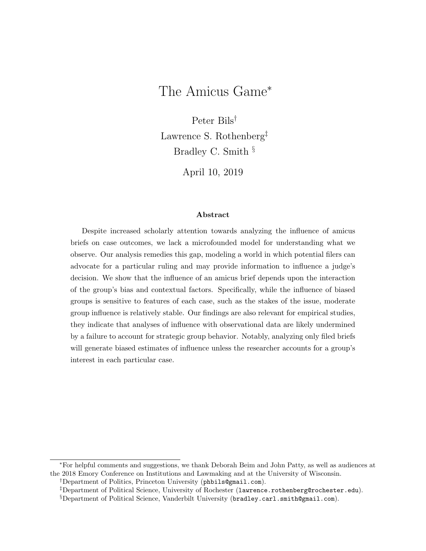# <span id="page-0-0"></span>The Amicus Game<sup>∗</sup>

Peter Bils†

Lawrence S. Rothenberg‡ Bradley C. Smith §

April 10, 2019

#### Abstract

Despite increased scholarly attention towards analyzing the influence of amicus briefs on case outcomes, we lack a microfounded model for understanding what we observe. Our analysis remedies this gap, modeling a world in which potential filers can advocate for a particular ruling and may provide information to influence a judge's decision. We show that the influence of an amicus brief depends upon the interaction of the group's bias and contextual factors. Specifically, while the influence of biased groups is sensitive to features of each case, such as the stakes of the issue, moderate group influence is relatively stable. Our findings are also relevant for empirical studies, they indicate that analyses of influence with observational data are likely undermined by a failure to account for strategic group behavior. Notably, analyzing only filed briefs will generate biased estimates of influence unless the researcher accounts for a group's interest in each particular case.

<sup>∗</sup>For helpful comments and suggestions, we thank Deborah Beim and John Patty, as well as audiences at the 2018 Emory Conference on Institutions and Lawmaking and at the University of Wisconsin.

<sup>†</sup>Department of Politics, Princeton University (phbils@gmail.com).

<sup>‡</sup>Department of Political Science, University of Rochester (lawrence.rothenberg@rochester.edu).

<sup>§</sup>Department of Political Science, Vanderbilt University (bradley.carl.smith@gmail.com).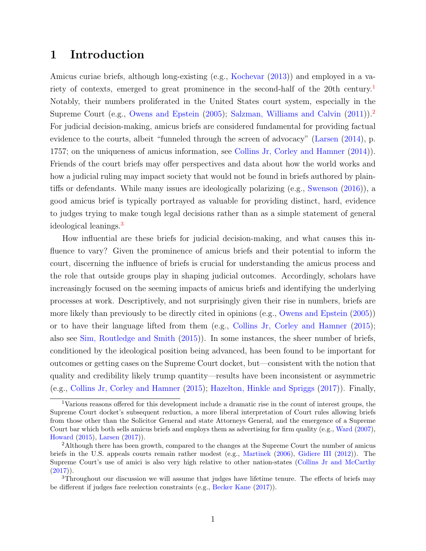## 1 Introduction

Amicus curiae briefs, although long-existing (e.g., [Kochevar](#page-41-0) [\(2013\)](#page-41-0)) and employed in a variety of contexts, emerged to great prominence in the second-half of the 20th century.[1](#page-0-0) Notably, their numbers proliferated in the United States court system, especially in the Supreme Court (e.g., [Owens and Epstein](#page-42-0) [\(2005\)](#page-42-0); [Salzman, Williams and Calvin](#page-42-1) [\(2011\)](#page-42-1)).<sup>[2](#page-0-0)</sup> For judicial decision-making, amicus briefs are considered fundamental for providing factual evidence to the courts, albeit "funneled through the screen of advocacy" [\(Larsen](#page-41-1) [\(2014\)](#page-41-1), p. 1757; on the uniqueness of amicus information, see [Collins Jr, Corley and Hamner](#page-40-0) [\(2014\)](#page-40-0)). Friends of the court briefs may offer perspectives and data about how the world works and how a judicial ruling may impact society that would not be found in briefs authored by plaintiffs or defendants. While many issues are ideologically polarizing (e.g., [Swenson](#page-42-2) [\(2016\)](#page-42-2)), a good amicus brief is typically portrayed as valuable for providing distinct, hard, evidence to judges trying to make tough legal decisions rather than as a simple statement of general ideological leanings.[3](#page-0-0)

How influential are these briefs for judicial decision-making, and what causes this influence to vary? Given the prominence of amicus briefs and their potential to inform the court, discerning the influence of briefs is crucial for understanding the amicus process and the role that outside groups play in shaping judicial outcomes. Accordingly, scholars have increasingly focused on the seeming impacts of amicus briefs and identifying the underlying processes at work. Descriptively, and not surprisingly given their rise in numbers, briefs are more likely than previously to be directly cited in opinions (e.g., [Owens and Epstein](#page-42-0) [\(2005\)](#page-42-0)) or to have their language lifted from them (e.g., [Collins Jr, Corley and Hamner](#page-40-1) [\(2015\)](#page-40-1); also see [Sim, Routledge and Smith](#page-42-3) [\(2015\)](#page-42-3)). In some instances, the sheer number of briefs, conditioned by the ideological position being advanced, has been found to be important for outcomes or getting cases on the Supreme Court docket, but—consistent with the notion that quality and credibility likely trump quantity—results have been inconsistent or asymmetric (e.g., [Collins Jr, Corley and Hamner](#page-40-1) [\(2015\)](#page-40-1); [Hazelton, Hinkle and Spriggs](#page-41-2) [\(2017\)](#page-41-2)). Finally,

<sup>1</sup>Various reasons offered for this development include a dramatic rise in the count of interest groups, the Supreme Court docket's subsequent reduction, a more liberal interpretation of Court rules allowing briefs from those other than the Solicitor General and state Attorneys General, and the emergence of a Supreme Court bar which both sells amicus briefs and employs them as advertising for firm quality (e.g., [Ward](#page-43-0) [\(2007\)](#page-43-0), [Howard](#page-41-3) [\(2015\)](#page-41-3), [Larsen](#page-41-4) [\(2017\)](#page-41-4)).

<sup>&</sup>lt;sup>2</sup>Although there has been growth, compared to the changes at the Supreme Court the number of amicus briefs in the U.S. appeals courts remain rather modest (e.g., [Martinek](#page-42-4) [\(2006\)](#page-42-4), [Gidiere III](#page-40-2) [\(2012\)](#page-40-2)). The Supreme Court's use of amici is also very high relative to other nation-states [\(Collins Jr and McCarthy](#page-40-3)  $(2017)$ .

<sup>3</sup>Throughout our discussion we will assume that judges have lifetime tenure. The effects of briefs may be different if judges face reelection constraints (e.g., [Becker Kane](#page-39-0) [\(2017\)](#page-39-0)).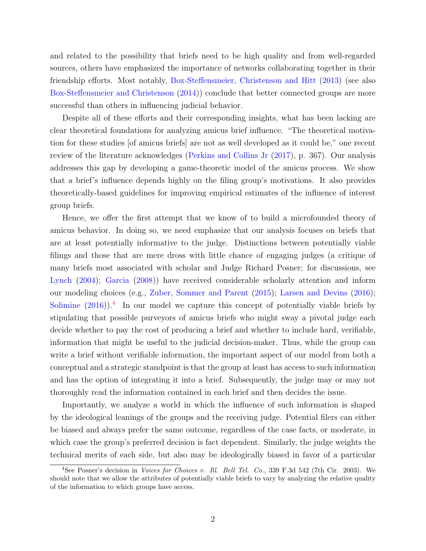and related to the possibility that briefs need to be high quality and from well-regarded sources, others have emphasized the importance of networks collaborating together in their friendship efforts. Most notably, [Box-Steffensmeier, Christenson and Hitt](#page-39-1) [\(2013\)](#page-39-1) (see also [Box-Steffensmeier and Christenson](#page-39-2) [\(2014\)](#page-39-2)) conclude that better connected groups are more successful than others in influencing judicial behavior.

Despite all of these efforts and their corresponding insights, what has been lacking are clear theoretical foundations for analyzing amicus brief influence. "The theoretical motivation for these studies [of amicus briefs] are not as well developed as it could be," one recent review of the literature acknowledges [\(Perkins and Collins Jr](#page-42-5) [\(2017\)](#page-42-5), p. 367). Our analysis addresses this gap by developing a game-theoretic model of the amicus process. We show that a brief's influence depends highly on the filing group's motivations. It also provides theoretically-based guidelines for improving empirical estimates of the influence of interest group briefs.

Hence, we offer the first attempt that we know of to build a microfounded theory of amicus behavior. In doing so, we need emphasize that our analysis focuses on briefs that are at least potentially informative to the judge. Distinctions between potentially viable filings and those that are mere dross with little chance of engaging judges (a critique of many briefs most associated with scholar and Judge Richard Posner; for discussions, see [Lynch](#page-41-5) [\(2004\)](#page-41-5); [Garcia](#page-40-4) [\(2008\)](#page-40-4)) have received considerable scholarly attention and inform our modeling choices (e.g., [Zuber, Sommer and Parent](#page-43-1) [\(2015\)](#page-43-1); [Larsen and Devins](#page-41-6) [\(2016\)](#page-41-6); [Solimine](#page-42-6)  $(2016)$ .<sup>[4](#page-0-0)</sup> In our model we capture this concept of potentially viable briefs by stipulating that possible purveyors of amicus briefs who might sway a pivotal judge each decide whether to pay the cost of producing a brief and whether to include hard, verifiable, information that might be useful to the judicial decision-maker. Thus, while the group can write a brief without verifiable information, the important aspect of our model from both a conceptual and a strategic standpoint is that the group at least has access to such information and has the option of integrating it into a brief. Subsequently, the judge may or may not thoroughly read the information contained in each brief and then decides the issue.

Importantly, we analyze a world in which the influence of such information is shaped by the ideological leanings of the groups and the receiving judge. Potential filers can either be biased and always prefer the same outcome, regardless of the case facts, or moderate, in which case the group's preferred decision is fact dependent. Similarly, the judge weights the technical merits of each side, but also may be ideologically biased in favor of a particular

<sup>&</sup>lt;sup>4</sup>See Posner's decision in *Voices for Choices v. Ill. Bell Tel. Co.*, 339 F.3d 542 (7th Cir. 2003). We should note that we allow the attributes of potentially viable briefs to vary by analyzing the relative quality of the information to which groups have access.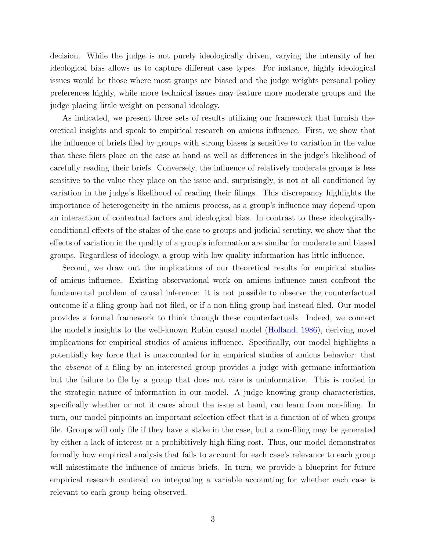decision. While the judge is not purely ideologically driven, varying the intensity of her ideological bias allows us to capture different case types. For instance, highly ideological issues would be those where most groups are biased and the judge weights personal policy preferences highly, while more technical issues may feature more moderate groups and the judge placing little weight on personal ideology.

As indicated, we present three sets of results utilizing our framework that furnish theoretical insights and speak to empirical research on amicus influence. First, we show that the influence of briefs filed by groups with strong biases is sensitive to variation in the value that these filers place on the case at hand as well as differences in the judge's likelihood of carefully reading their briefs. Conversely, the influence of relatively moderate groups is less sensitive to the value they place on the issue and, surprisingly, is not at all conditioned by variation in the judge's likelihood of reading their filings. This discrepancy highlights the importance of heterogeneity in the amicus process, as a group's influence may depend upon an interaction of contextual factors and ideological bias. In contrast to these ideologicallyconditional effects of the stakes of the case to groups and judicial scrutiny, we show that the effects of variation in the quality of a group's information are similar for moderate and biased groups. Regardless of ideology, a group with low quality information has little influence.

Second, we draw out the implications of our theoretical results for empirical studies of amicus influence. Existing observational work on amicus influence must confront the fundamental problem of causal inference: it is not possible to observe the counterfactual outcome if a filing group had not filed, or if a non-filing group had instead filed. Our model provides a formal framework to think through these counterfactuals. Indeed, we connect the model's insights to the well-known Rubin causal model [\(Holland,](#page-41-7) [1986\)](#page-41-7), deriving novel implications for empirical studies of amicus influence. Specifically, our model highlights a potentially key force that is unaccounted for in empirical studies of amicus behavior: that the absence of a filing by an interested group provides a judge with germane information but the failure to file by a group that does not care is uninformative. This is rooted in the strategic nature of information in our model. A judge knowing group characteristics, specifically whether or not it cares about the issue at hand, can learn from non-filing. In turn, our model pinpoints an important selection effect that is a function of of when groups file. Groups will only file if they have a stake in the case, but a non-filing may be generated by either a lack of interest or a prohibitively high filing cost. Thus, our model demonstrates formally how empirical analysis that fails to account for each case's relevance to each group will misestimate the influence of amicus briefs. In turn, we provide a blueprint for future empirical research centered on integrating a variable accounting for whether each case is relevant to each group being observed.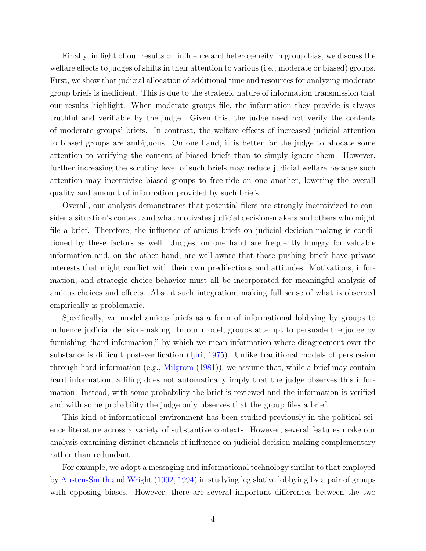Finally, in light of our results on influence and heterogeneity in group bias, we discuss the welfare effects to judges of shifts in their attention to various (i.e., moderate or biased) groups. First, we show that judicial allocation of additional time and resources for analyzing moderate group briefs is inefficient. This is due to the strategic nature of information transmission that our results highlight. When moderate groups file, the information they provide is always truthful and verifiable by the judge. Given this, the judge need not verify the contents of moderate groups' briefs. In contrast, the welfare effects of increased judicial attention to biased groups are ambiguous. On one hand, it is better for the judge to allocate some attention to verifying the content of biased briefs than to simply ignore them. However, further increasing the scrutiny level of such briefs may reduce judicial welfare because such attention may incentivize biased groups to free-ride on one another, lowering the overall quality and amount of information provided by such briefs.

Overall, our analysis demonstrates that potential filers are strongly incentivized to consider a situation's context and what motivates judicial decision-makers and others who might file a brief. Therefore, the influence of amicus briefs on judicial decision-making is conditioned by these factors as well. Judges, on one hand are frequently hungry for valuable information and, on the other hand, are well-aware that those pushing briefs have private interests that might conflict with their own predilections and attitudes. Motivations, information, and strategic choice behavior must all be incorporated for meaningful analysis of amicus choices and effects. Absent such integration, making full sense of what is observed empirically is problematic.

Specifically, we model amicus briefs as a form of informational lobbying by groups to influence judicial decision-making. In our model, groups attempt to persuade the judge by furnishing "hard information," by which we mean information where disagreement over the substance is difficult post-verification [\(Ijiri,](#page-41-8) [1975\)](#page-41-8). Unlike traditional models of persuasion through hard information (e.g., [Milgrom](#page-42-7) [\(1981\)](#page-42-7)), we assume that, while a brief may contain hard information, a filing does not automatically imply that the judge observes this information. Instead, with some probability the brief is reviewed and the information is verified and with some probability the judge only observes that the group files a brief.

This kind of informational environment has been studied previously in the political science literature across a variety of substantive contexts. However, several features make our analysis examining distinct channels of influence on judicial decision-making complementary rather than redundant.

For example, we adopt a messaging and informational technology similar to that employed by [Austen-Smith and Wright](#page-39-3) [\(1992,](#page-39-3) [1994\)](#page-39-4) in studying legislative lobbying by a pair of groups with opposing biases. However, there are several important differences between the two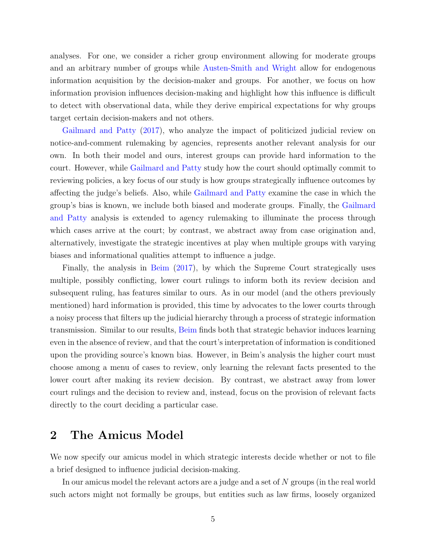analyses. For one, we consider a richer group environment allowing for moderate groups and an arbitrary number of groups while [Austen-Smith and Wright](#page-39-3) allow for endogenous information acquisition by the decision-maker and groups. For another, we focus on how information provision influences decision-making and highlight how this influence is difficult to detect with observational data, while they derive empirical expectations for why groups target certain decision-makers and not others.

[Gailmard and Patty](#page-40-5) [\(2017\)](#page-40-5), who analyze the impact of politicized judicial review on notice-and-comment rulemaking by agencies, represents another relevant analysis for our own. In both their model and ours, interest groups can provide hard information to the court. However, while [Gailmard and Patty](#page-40-5) study how the court should optimally commit to reviewing policies, a key focus of our study is how groups strategically influence outcomes by affecting the judge's beliefs. Also, while [Gailmard and Patty](#page-40-5) examine the case in which the group's bias is known, we include both biased and moderate groups. Finally, the [Gailmard](#page-40-5) [and Patty](#page-40-5) analysis is extended to agency rulemaking to illuminate the process through which cases arrive at the court; by contrast, we abstract away from case origination and, alternatively, investigate the strategic incentives at play when multiple groups with varying biases and informational qualities attempt to influence a judge.

Finally, the analysis in [Beim](#page-39-5) [\(2017\)](#page-39-5), by which the Supreme Court strategically uses multiple, possibly conflicting, lower court rulings to inform both its review decision and subsequent ruling, has features similar to ours. As in our model (and the others previously mentioned) hard information is provided, this time by advocates to the lower courts through a noisy process that filters up the judicial hierarchy through a process of strategic information transmission. Similar to our results, [Beim](#page-39-5) finds both that strategic behavior induces learning even in the absence of review, and that the court's interpretation of information is conditioned upon the providing source's known bias. However, in Beim's analysis the higher court must choose among a menu of cases to review, only learning the relevant facts presented to the lower court after making its review decision. By contrast, we abstract away from lower court rulings and the decision to review and, instead, focus on the provision of relevant facts directly to the court deciding a particular case.

## 2 The Amicus Model

We now specify our amicus model in which strategic interests decide whether or not to file a brief designed to influence judicial decision-making.

In our amicus model the relevant actors are a judge and a set of N groups (in the real world such actors might not formally be groups, but entities such as law firms, loosely organized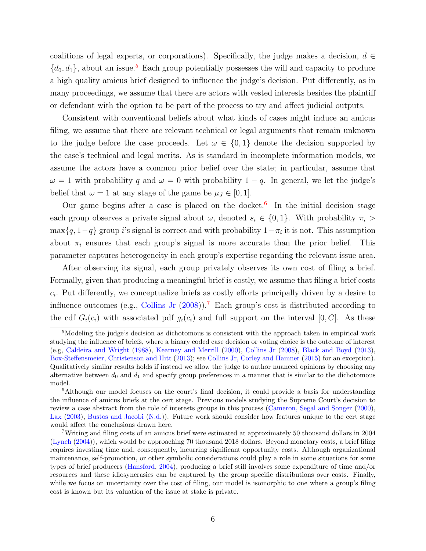coalitions of legal experts, or corporations). Specifically, the judge makes a decision,  $d \in$  ${d_0, d_1}$ , about an issue.<sup>[5](#page-0-0)</sup> Each group potentially possesses the will and capacity to produce a high quality amicus brief designed to influence the judge's decision. Put differently, as in many proceedings, we assume that there are actors with vested interests besides the plaintiff or defendant with the option to be part of the process to try and affect judicial outputs.

Consistent with conventional beliefs about what kinds of cases might induce an amicus filing, we assume that there are relevant technical or legal arguments that remain unknown to the judge before the case proceeds. Let  $\omega \in \{0,1\}$  denote the decision supported by the case's technical and legal merits. As is standard in incomplete information models, we assume the actors have a common prior belief over the state; in particular, assume that  $\omega = 1$  with probability q and  $\omega = 0$  with probability  $1 - q$ . In general, we let the judge's belief that  $\omega = 1$  at any stage of the game be  $\mu_J \in [0, 1]$ .

Our game begins after a case is placed on the docket.<sup>[6](#page-0-0)</sup> In the initial decision stage each group observes a private signal about  $\omega$ , denoted  $s_i \in \{0,1\}$ . With probability  $\pi_i$  $\max\{q, 1-q\}$  group *i*'s signal is correct and with probability  $1-\pi_i$  it is not. This assumption about  $\pi_i$  ensures that each group's signal is more accurate than the prior belief. This parameter captures heterogeneity in each group's expertise regarding the relevant issue area.

After observing its signal, each group privately observes its own cost of filing a brief. Formally, given that producing a meaningful brief is costly, we assume that filing a brief costs  $c_i$ . Put differently, we conceptualize briefs as costly efforts principally driven by a desire to influence outcomes (e.g., [Collins Jr](#page-40-6)  $(2008)$ ).<sup>[7](#page-0-0)</sup> Each group's cost is distributed according to the cdf  $G_i(c_i)$  with associated pdf  $g_i(c_i)$  and full support on the interval [0, C]. As these

<sup>5</sup>Modeling the judge's decision as dichotomous is consistent with the approach taken in empirical work studying the influence of briefs, where a binary coded case decision or voting choice is the outcome of interest (e.g, [Caldeira and Wright](#page-40-7) [\(1988\)](#page-40-7), [Kearney and Merrill](#page-41-9) [\(2000\)](#page-41-9), [Collins Jr](#page-40-6) [\(2008\)](#page-40-6), [Black and Boyd](#page-39-6) [\(2013\)](#page-39-6), [Box-Steffensmeier, Christenson and Hitt](#page-39-1) [\(2013\)](#page-39-1); see [Collins Jr, Corley and Hamner](#page-40-1) [\(2015\)](#page-40-1) for an exception). Qualitatively similar results holds if instead we allow the judge to author nuanced opinions by choosing any alternative between  $d_0$  and  $d_1$  and specify group preferences in a manner that is similar to the dichotomous model.

<sup>&</sup>lt;sup>6</sup>Although our model focuses on the court's final decision, it could provide a basis for understanding the influence of amicus briefs at the cert stage. Previous models studying the Supreme Court's decision to review a case abstract from the role of interests groups in this process [\(Cameron, Segal and Songer](#page-40-8) [\(2000\)](#page-40-8), [Lax](#page-41-10) [\(2003\)](#page-41-10), [Bustos and Jacobi](#page-40-9) [\(N.d.\)](#page-40-9)). Future work should consider how features unique to the cert stage would affect the conclusions drawn here.

<sup>7</sup>Writing and filing costs of an amicus brief were estimated at approximately 50 thousand dollars in 2004 [\(Lynch](#page-41-5) [\(2004\)](#page-41-5)), which would be approaching 70 thousand 2018 dollars. Beyond monetary costs, a brief filing requires investing time and, consequently, incurring significant opportunity costs. Although organizational maintenance, self-promotion, or other symbolic considerations could play a role in some situations for some types of brief producers [\(Hansford,](#page-41-11) [2004\)](#page-41-11), producing a brief still involves some expenditure of time and/or resources and these idiosyncrasies can be captured by the group specific distributions over costs. Finally, while we focus on uncertainty over the cost of filing, our model is isomorphic to one where a group's filing cost is known but its valuation of the issue at stake is private.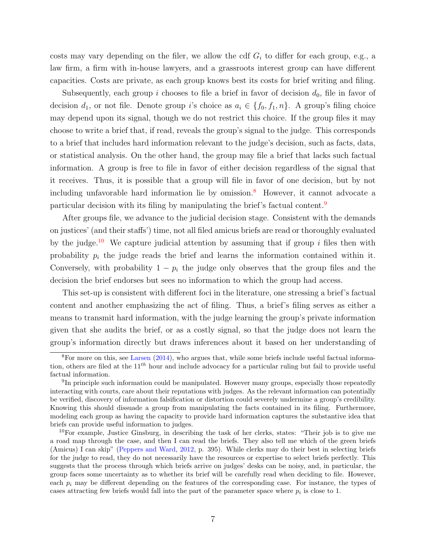costs may vary depending on the filer, we allow the cdf  $G_i$  to differ for each group, e.g., a law firm, a firm with in-house lawyers, and a grassroots interest group can have different capacities. Costs are private, as each group knows best its costs for brief writing and filing.

Subsequently, each group i chooses to file a brief in favor of decision  $d_0$ , file in favor of decision  $d_1$ , or not file. Denote group i's choice as  $a_i \in \{f_0, f_1, n\}$ . A group's filing choice may depend upon its signal, though we do not restrict this choice. If the group files it may choose to write a brief that, if read, reveals the group's signal to the judge. This corresponds to a brief that includes hard information relevant to the judge's decision, such as facts, data, or statistical analysis. On the other hand, the group may file a brief that lacks such factual information. A group is free to file in favor of either decision regardless of the signal that it receives. Thus, it is possible that a group will file in favor of one decision, but by not including unfavorable hard information lie by omission.<sup>[8](#page-0-0)</sup> However, it cannot advocate a particular decision with its filing by manipulating the brief's factual content.[9](#page-0-0)

After groups file, we advance to the judicial decision stage. Consistent with the demands on justices' (and their staffs') time, not all filed amicus briefs are read or thoroughly evaluated by the judge.<sup>[10](#page-0-0)</sup> We capture judicial attention by assuming that if group i files then with probability  $p_i$  the judge reads the brief and learns the information contained within it. Conversely, with probability  $1 - p_i$  the judge only observes that the group files and the decision the brief endorses but sees no information to which the group had access.

This set-up is consistent with different foci in the literature, one stressing a brief's factual content and another emphasizing the act of filing. Thus, a brief's filing serves as either a means to transmit hard information, with the judge learning the group's private information given that she audits the brief, or as a costly signal, so that the judge does not learn the group's information directly but draws inferences about it based on her understanding of

 ${}^{8}$ For more on this, see [Larsen](#page-41-1) [\(2014\)](#page-41-1), who argues that, while some briefs include useful factual information, others are filed at the  $11^{th}$  hour and include advocacy for a particular ruling but fail to provide useful factual information.

<sup>&</sup>lt;sup>9</sup>In principle such information could be manipulated. However many groups, especially those repeatedly interacting with courts, care about their reputations with judges. As the relevant information can potentially be verified, discovery of information falsification or distortion could severely undermine a group's credibility. Knowing this should dissuade a group from manipulating the facts contained in its filing. Furthermore, modeling each group as having the capacity to provide hard information captures the substantive idea that briefs can provide useful information to judges.

<sup>10</sup>For example, Justice Ginsburg, in describing the task of her clerks, states: "Their job is to give me a road map through the case, and then I can read the briefs. They also tell me which of the green briefs (Amicus) I can skip" [\(Peppers and Ward,](#page-42-8) [2012,](#page-42-8) p. 395). While clerks may do their best in selecting briefs for the judge to read, they do not necessarily have the resources or expertise to select briefs perfectly. This suggests that the process through which briefs arrive on judges' desks can be noisy, and, in particular, the group faces some uncertainty as to whether its brief will be carefully read when deciding to file. However, each  $p_i$  may be different depending on the features of the corresponding case. For instance, the types of cases attracting few briefs would fall into the part of the parameter space where  $p_i$  is close to 1.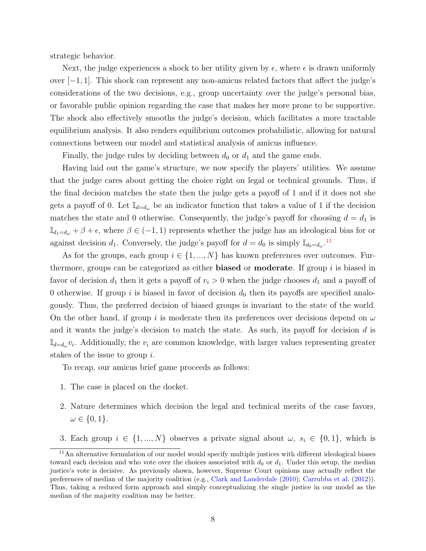strategic behavior.

Next, the judge experiences a shock to her utility given by  $\epsilon$ , where  $\epsilon$  is drawn uniformly over [−1, 1]. This shock can represent any non-amicus related factors that affect the judge's considerations of the two decisions, e.g., group uncertainty over the judge's personal bias, or favorable public opinion regarding the case that makes her more prone to be supportive. The shock also effectively smooths the judge's decision, which facilitates a more tractable equilibrium analysis. It also renders equilibrium outcomes probabilistic, allowing for natural connections between our model and statistical analysis of amicus influence.

Finally, the judge rules by deciding between  $d_0$  or  $d_1$  and the game ends.

Having laid out the game's structure, we now specify the players' utilities. We assume that the judge cares about getting the choice right on legal or technical grounds. Thus, if the final decision matches the state then the judge gets a payoff of 1 and if it does not she gets a payoff of 0. Let  $\mathbb{I}_{d=d_{\omega}}$  be an indicator function that takes a value of 1 if the decision matches the state and 0 otherwise. Consequently, the judge's payoff for choosing  $d = d_1$  is  $\mathbb{I}_{d_1=d_\omega} + \beta + \epsilon$ , where  $\beta \in (-1,1)$  represents whether the judge has an ideological bias for or against decision  $d_1$ . Conversely, the judge's payoff for  $d = d_0$  is simply  $\mathbb{I}_{d_0 = d_\omega}$ .<sup>[11](#page-0-0)</sup>

As for the groups, each group  $i \in \{1, ..., N\}$  has known preferences over outcomes. Furthermore, groups can be categorized as either **biased** or **moderate**. If group  $i$  is biased in favor of decision  $d_1$  then it gets a payoff of  $v_i > 0$  when the judge chooses  $d_1$  and a payoff of 0 otherwise. If group i is biased in favor of decision  $d_0$  then its payoffs are specified analogously. Thus, the preferred decision of biased groups is invariant to the state of the world. On the other hand, if group i is moderate then its preferences over decisions depend on  $\omega$ and it wants the judge's decision to match the state. As such, its payoff for decision  $d$  is  $\mathbb{I}_{d=d_{\omega}} v_i$ . Additionally, the  $v_i$  are common knowledge, with larger values representing greater stakes of the issue to group i.

To recap, our amicus brief game proceeds as follows:

- 1. The case is placed on the docket.
- 2. Nature determines which decision the legal and technical merits of the case favors,  $\omega \in \{0,1\}.$
- 3. Each group  $i \in \{1, ..., N\}$  observes a private signal about  $\omega, s_i \in \{0, 1\}$ , which is

 $11$ An alternative formulation of our model would specify multiple justices with different ideological biases toward each decision and who vote over the choices associated with  $d_0$  or  $d_1$ . Under this setup, the median justice's vote is decisive. As previously shown, however, Supreme Court opinions may actually reflect the preferences of median of the majority coalition (e.g., [Clark and Lauderdale](#page-40-10) [\(2010\)](#page-40-10); [Carrubba et al.](#page-40-11) [\(2012\)](#page-40-11)). Thus, taking a reduced form approach and simply conceptualizing the single justice in our model as the median of the majority coalition may be better.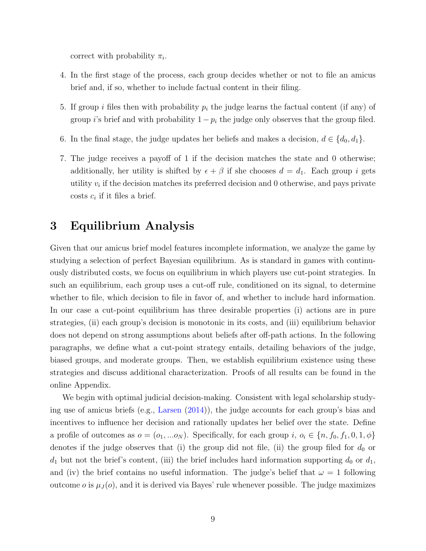correct with probability  $\pi_i$ .

- 4. In the first stage of the process, each group decides whether or not to file an amicus brief and, if so, whether to include factual content in their filing.
- 5. If group *i* files then with probability  $p_i$  the judge learns the factual content (if any) of group i's brief and with probability  $1 - p_i$  the judge only observes that the group filed.
- 6. In the final stage, the judge updates her beliefs and makes a decision,  $d \in \{d_0, d_1\}$ .
- 7. The judge receives a payoff of 1 if the decision matches the state and 0 otherwise; additionally, her utility is shifted by  $\epsilon + \beta$  if she chooses  $d = d_1$ . Each group i gets utility  $v_i$  if the decision matches its preferred decision and 0 otherwise, and pays private  $\cos$ ts  $c_i$  if it files a brief.

## 3 Equilibrium Analysis

Given that our amicus brief model features incomplete information, we analyze the game by studying a selection of perfect Bayesian equilibrium. As is standard in games with continuously distributed costs, we focus on equilibrium in which players use cut-point strategies. In such an equilibrium, each group uses a cut-off rule, conditioned on its signal, to determine whether to file, which decision to file in favor of, and whether to include hard information. In our case a cut-point equilibrium has three desirable properties (i) actions are in pure strategies, (ii) each group's decision is monotonic in its costs, and (iii) equilibrium behavior does not depend on strong assumptions about beliefs after off-path actions. In the following paragraphs, we define what a cut-point strategy entails, detailing behaviors of the judge, biased groups, and moderate groups. Then, we establish equilibrium existence using these strategies and discuss additional characterization. Proofs of all results can be found in the online Appendix.

We begin with optimal judicial decision-making. Consistent with legal scholarship studying use of amicus briefs (e.g., [Larsen](#page-41-1) [\(2014\)](#page-41-1)), the judge accounts for each group's bias and incentives to influence her decision and rationally updates her belief over the state. Define a profile of outcomes as  $o = (o_1, ... o_N)$ . Specifically, for each group  $i, o_i \in \{n, f_0, f_1, 0, 1, \phi\}$ denotes if the judge observes that (i) the group did not file, (ii) the group filed for  $d_0$  or  $d_1$  but not the brief's content, (iii) the brief includes hard information supporting  $d_0$  or  $d_1$ , and (iv) the brief contains no useful information. The judge's belief that  $\omega = 1$  following outcome *o* is  $\mu_J(o)$ , and it is derived via Bayes' rule whenever possible. The judge maximizes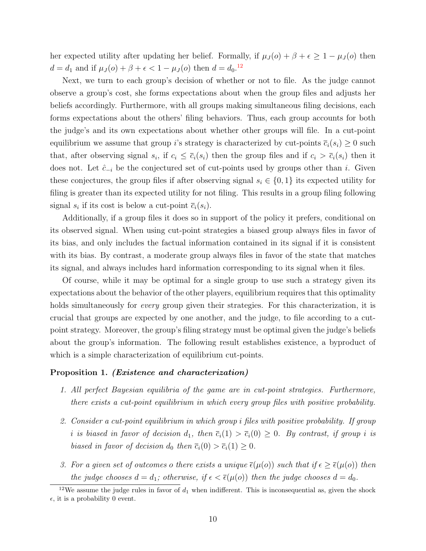her expected utility after updating her belief. Formally, if  $\mu_J(o) + \beta + \epsilon \geq 1 - \mu_J(o)$  then  $d = d_1$  and if  $\mu_J(o) + \beta + \epsilon < 1 - \mu_J(o)$  then  $d = d_0$ .<sup>[12](#page-0-0)</sup>

Next, we turn to each group's decision of whether or not to file. As the judge cannot observe a group's cost, she forms expectations about when the group files and adjusts her beliefs accordingly. Furthermore, with all groups making simultaneous filing decisions, each forms expectations about the others' filing behaviors. Thus, each group accounts for both the judge's and its own expectations about whether other groups will file. In a cut-point equilibrium we assume that group i's strategy is characterized by cut-points  $\overline{c}_i(s_i) \geq 0$  such that, after observing signal  $s_i$ , if  $c_i \leq \overline{c}_i(s_i)$  then the group files and if  $c_i > \overline{c}_i(s_i)$  then it does not. Let  $\hat{c}_{-i}$  be the conjectured set of cut-points used by groups other than i. Given these conjectures, the group files if after observing signal  $s_i \in \{0,1\}$  its expected utility for filing is greater than its expected utility for not filing. This results in a group filing following signal  $s_i$  if its cost is below a cut-point  $\overline{c}_i(s_i)$ .

Additionally, if a group files it does so in support of the policy it prefers, conditional on its observed signal. When using cut-point strategies a biased group always files in favor of its bias, and only includes the factual information contained in its signal if it is consistent with its bias. By contrast, a moderate group always files in favor of the state that matches its signal, and always includes hard information corresponding to its signal when it files.

Of course, while it may be optimal for a single group to use such a strategy given its expectations about the behavior of the other players, equilibrium requires that this optimality holds simultaneously for *every* group given their strategies. For this characterization, it is crucial that groups are expected by one another, and the judge, to file according to a cutpoint strategy. Moreover, the group's filing strategy must be optimal given the judge's beliefs about the group's information. The following result establishes existence, a byproduct of which is a simple characterization of equilibrium cut-points.

#### <span id="page-10-0"></span>Proposition 1. (Existence and characterization)

- 1. All perfect Bayesian equilibria of the game are in cut-point strategies. Furthermore, there exists a cut-point equilibrium in which every group files with positive probability.
- 2. Consider a cut-point equilibrium in which group i files with positive probability. If group i is biased in favor of decision  $d_1$ , then  $\overline{c}_i(1) > \overline{c}_i(0) \geq 0$ . By contrast, if group i is biased in favor of decision  $d_0$  then  $\overline{c}_i(0) > \overline{c}_i(1) \geq 0$ .
- 3. For a given set of outcomes o there exists a unique  $\bar{\epsilon}(\mu(o))$  such that if  $\epsilon \geq \bar{\epsilon}(\mu(o))$  then the judge chooses  $d = d_1$ ; otherwise, if  $\epsilon < \bar{\epsilon}(\mu(o))$  then the judge chooses  $d = d_0$ .

<sup>&</sup>lt;sup>12</sup>We assume the judge rules in favor of  $d_1$  when indifferent. This is inconsequential as, given the shock  $\epsilon$ , it is a probability 0 event.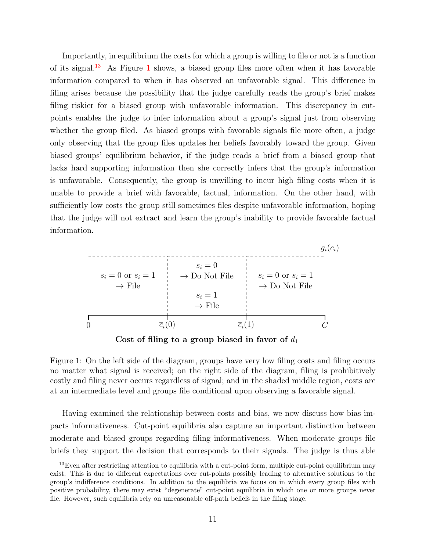Importantly, in equilibrium the costs for which a group is willing to file or not is a function of its signal.<sup>[13](#page-0-0)</sup> As Figure [1](#page-11-0) shows, a biased group files more often when it has favorable information compared to when it has observed an unfavorable signal. This difference in filing arises because the possibility that the judge carefully reads the group's brief makes filing riskier for a biased group with unfavorable information. This discrepancy in cutpoints enables the judge to infer information about a group's signal just from observing whether the group filed. As biased groups with favorable signals file more often, a judge only observing that the group files updates her beliefs favorably toward the group. Given biased groups' equilibrium behavior, if the judge reads a brief from a biased group that lacks hard supporting information then she correctly infers that the group's information is unfavorable. Consequently, the group is unwilling to incur high filing costs when it is unable to provide a brief with favorable, factual, information. On the other hand, with sufficiently low costs the group still sometimes files despite unfavorable information, hoping that the judge will not extract and learn the group's inability to provide favorable factual information.



<span id="page-11-0"></span>Cost of filing to a group biased in favor of  $d_1$ 

Figure 1: On the left side of the diagram, groups have very low filing costs and filing occurs no matter what signal is received; on the right side of the diagram, filing is prohibitively costly and filing never occurs regardless of signal; and in the shaded middle region, costs are at an intermediate level and groups file conditional upon observing a favorable signal.

Having examined the relationship between costs and bias, we now discuss how bias impacts informativeness. Cut-point equilibria also capture an important distinction between moderate and biased groups regarding filing informativeness. When moderate groups file briefs they support the decision that corresponds to their signals. The judge is thus able

<sup>&</sup>lt;sup>13</sup>Even after restricting attention to equilibria with a cut-point form, multiple cut-point equilibrium may exist. This is due to different expectations over cut-points possibly leading to alternative solutions to the group's indifference conditions. In addition to the equilibria we focus on in which every group files with positive probability, there may exist "degenerate" cut-point equilibria in which one or more groups never file. However, such equilibria rely on unreasonable off-path beliefs in the filing stage.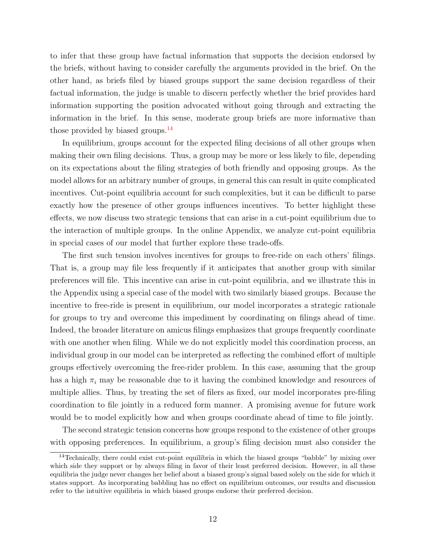to infer that these group have factual information that supports the decision endorsed by the briefs, without having to consider carefully the arguments provided in the brief. On the other hand, as briefs filed by biased groups support the same decision regardless of their factual information, the judge is unable to discern perfectly whether the brief provides hard information supporting the position advocated without going through and extracting the information in the brief. In this sense, moderate group briefs are more informative than those provided by biased groups.<sup>[14](#page-0-0)</sup>

In equilibrium, groups account for the expected filing decisions of all other groups when making their own filing decisions. Thus, a group may be more or less likely to file, depending on its expectations about the filing strategies of both friendly and opposing groups. As the model allows for an arbitrary number of groups, in general this can result in quite complicated incentives. Cut-point equilibria account for such complexities, but it can be difficult to parse exactly how the presence of other groups influences incentives. To better highlight these effects, we now discuss two strategic tensions that can arise in a cut-point equilibrium due to the interaction of multiple groups. In the online Appendix, we analyze cut-point equilibria in special cases of our model that further explore these trade-offs.

The first such tension involves incentives for groups to free-ride on each others' filings. That is, a group may file less frequently if it anticipates that another group with similar preferences will file. This incentive can arise in cut-point equilibria, and we illustrate this in the Appendix using a special case of the model with two similarly biased groups. Because the incentive to free-ride is present in equilibrium, our model incorporates a strategic rationale for groups to try and overcome this impediment by coordinating on filings ahead of time. Indeed, the broader literature on amicus filings emphasizes that groups frequently coordinate with one another when filing. While we do not explicitly model this coordination process, an individual group in our model can be interpreted as reflecting the combined effort of multiple groups effectively overcoming the free-rider problem. In this case, assuming that the group has a high  $\pi_i$  may be reasonable due to it having the combined knowledge and resources of multiple allies. Thus, by treating the set of filers as fixed, our model incorporates pre-filing coordination to file jointly in a reduced form manner. A promising avenue for future work would be to model explicitly how and when groups coordinate ahead of time to file jointly.

The second strategic tension concerns how groups respond to the existence of other groups with opposing preferences. In equilibrium, a group's filing decision must also consider the

<sup>&</sup>lt;sup>14</sup>Technically, there could exist cut-point equilibria in which the biased groups "babble" by mixing over which side they support or by always filing in favor of their least preferred decision. However, in all these equilibria the judge never changes her belief about a biased group's signal based solely on the side for which it states support. As incorporating babbling has no effect on equilibrium outcomes, our results and discussion refer to the intuitive equilibria in which biased groups endorse their preferred decision.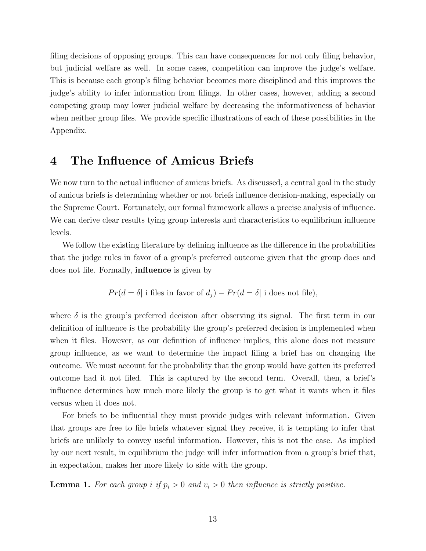filing decisions of opposing groups. This can have consequences for not only filing behavior, but judicial welfare as well. In some cases, competition can improve the judge's welfare. This is because each group's filing behavior becomes more disciplined and this improves the judge's ability to infer information from filings. In other cases, however, adding a second competing group may lower judicial welfare by decreasing the informativeness of behavior when neither group files. We provide specific illustrations of each of these possibilities in the Appendix.

## 4 The Influence of Amicus Briefs

We now turn to the actual influence of amicus briefs. As discussed, a central goal in the study of amicus briefs is determining whether or not briefs influence decision-making, especially on the Supreme Court. Fortunately, our formal framework allows a precise analysis of influence. We can derive clear results tying group interests and characteristics to equilibrium influence levels.

We follow the existing literature by defining influence as the difference in the probabilities that the judge rules in favor of a group's preferred outcome given that the group does and does not file. Formally, influence is given by

$$
Pr(d = \delta |
$$
 i files in favor of  $d_j$ ) -  $Pr(d = \delta |$  i does not file),

where  $\delta$  is the group's preferred decision after observing its signal. The first term in our definition of influence is the probability the group's preferred decision is implemented when when it files. However, as our definition of influence implies, this alone does not measure group influence, as we want to determine the impact filing a brief has on changing the outcome. We must account for the probability that the group would have gotten its preferred outcome had it not filed. This is captured by the second term. Overall, then, a brief's influence determines how much more likely the group is to get what it wants when it files versus when it does not.

For briefs to be influential they must provide judges with relevant information. Given that groups are free to file briefs whatever signal they receive, it is tempting to infer that briefs are unlikely to convey useful information. However, this is not the case. As implied by our next result, in equilibrium the judge will infer information from a group's brief that, in expectation, makes her more likely to side with the group.

**Lemma 1.** For each group i if  $p_i > 0$  and  $v_i > 0$  then influence is strictly positive.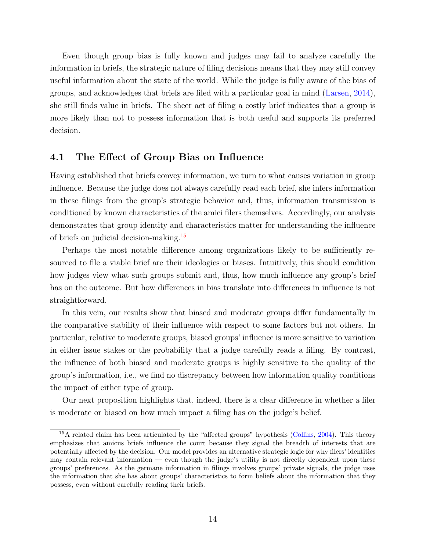Even though group bias is fully known and judges may fail to analyze carefully the information in briefs, the strategic nature of filing decisions means that they may still convey useful information about the state of the world. While the judge is fully aware of the bias of groups, and acknowledges that briefs are filed with a particular goal in mind [\(Larsen,](#page-41-1) [2014\)](#page-41-1), she still finds value in briefs. The sheer act of filing a costly brief indicates that a group is more likely than not to possess information that is both useful and supports its preferred decision.

### 4.1 The Effect of Group Bias on Influence

Having established that briefs convey information, we turn to what causes variation in group influence. Because the judge does not always carefully read each brief, she infers information in these filings from the group's strategic behavior and, thus, information transmission is conditioned by known characteristics of the amici filers themselves. Accordingly, our analysis demonstrates that group identity and characteristics matter for understanding the influence of briefs on judicial decision-making.[15](#page-0-0)

Perhaps the most notable difference among organizations likely to be sufficiently resourced to file a viable brief are their ideologies or biases. Intuitively, this should condition how judges view what such groups submit and, thus, how much influence any group's brief has on the outcome. But how differences in bias translate into differences in influence is not straightforward.

In this vein, our results show that biased and moderate groups differ fundamentally in the comparative stability of their influence with respect to some factors but not others. In particular, relative to moderate groups, biased groups' influence is more sensitive to variation in either issue stakes or the probability that a judge carefully reads a filing. By contrast, the influence of both biased and moderate groups is highly sensitive to the quality of the group's information, i.e., we find no discrepancy between how information quality conditions the impact of either type of group.

Our next proposition highlights that, indeed, there is a clear difference in whether a filer is moderate or biased on how much impact a filing has on the judge's belief.

<sup>15</sup>A related claim has been articulated by the "affected groups" hypothesis [\(Collins,](#page-40-12) [2004\)](#page-40-12). This theory emphasizes that amicus briefs influence the court because they signal the breadth of interests that are potentially affected by the decision. Our model provides an alternative strategic logic for why filers' identities may contain relevant information — even though the judge's utility is not directly dependent upon these groups' preferences. As the germane information in filings involves groups' private signals, the judge uses the information that she has about groups' characteristics to form beliefs about the information that they possess, even without carefully reading their briefs.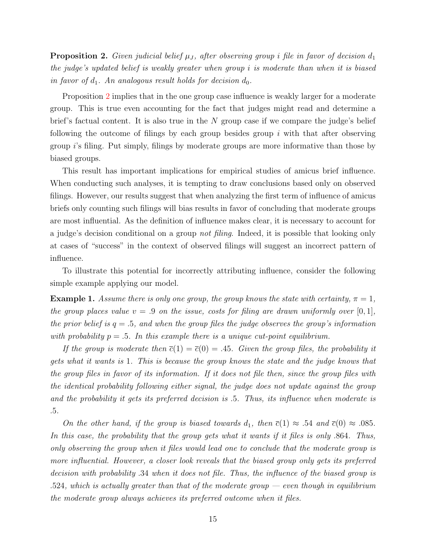<span id="page-15-0"></span>**Proposition 2.** Given judicial belief  $\mu_J$ , after observing group i file in favor of decision  $d_1$ the judge's updated belief is weakly greater when group i is moderate than when it is biased in favor of  $d_1$ . An analogous result holds for decision  $d_0$ .

Proposition [2](#page-15-0) implies that in the one group case influence is weakly larger for a moderate group. This is true even accounting for the fact that judges might read and determine a brief's factual content. It is also true in the  $N$  group case if we compare the judge's belief following the outcome of filings by each group besides group  $i$  with that after observing group  $i$ 's filing. Put simply, filings by moderate groups are more informative than those by biased groups.

This result has important implications for empirical studies of amicus brief influence. When conducting such analyses, it is tempting to draw conclusions based only on observed filings. However, our results suggest that when analyzing the first term of influence of amicus briefs only counting such filings will bias results in favor of concluding that moderate groups are most influential. As the definition of influence makes clear, it is necessary to account for a judge's decision conditional on a group *not filing*. Indeed, it is possible that looking only at cases of "success" in the context of observed filings will suggest an incorrect pattern of influence.

To illustrate this potential for incorrectly attributing influence, consider the following simple example applying our model.

<span id="page-15-1"></span>**Example 1.** Assume there is only one group, the group knows the state with certainty,  $\pi = 1$ , the group places value  $v = .9$  on the issue, costs for filing are drawn uniformly over [0,1], the prior belief is  $q = .5$ , and when the group files the judge observes the group's information with probability  $p = .5$ . In this example there is a unique cut-point equilibrium.

If the group is moderate then  $\bar{c}(1) = \bar{c}(0) = .45$ . Given the group files, the probability it gets what it wants is 1. This is because the group knows the state and the judge knows that the group files in favor of its information. If it does not file then, since the group files with the identical probability following either signal, the judge does not update against the group and the probability it gets its preferred decision is .5. Thus, its influence when moderate is .5.

On the other hand, if the group is biased towards  $d_1$ , then  $\bar{c}(1) \approx .54$  and  $\bar{c}(0) \approx .085$ . In this case, the probability that the group gets what it wants if it files is only .864. Thus, only observing the group when it files would lead one to conclude that the moderate group is more influential. However, a closer look reveals that the biased group only gets its preferred decision with probability .34 when it does not file. Thus, the influence of the biased group is .524, which is actually greater than that of the moderate group  $-$  even though in equilibrium the moderate group always achieves its preferred outcome when it files.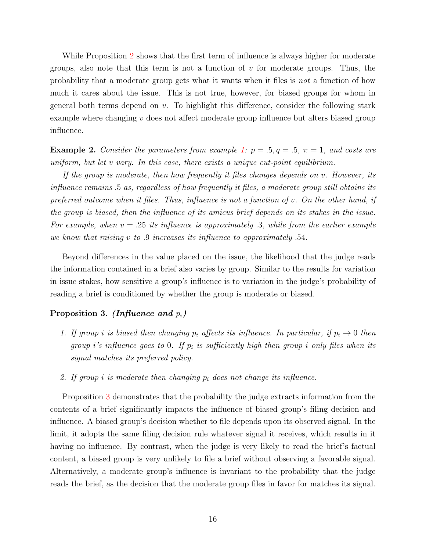While Proposition [2](#page-15-0) shows that the first term of influence is always higher for moderate groups, also note that this term is not a function of  $v$  for moderate groups. Thus, the probability that a moderate group gets what it wants when it files is not a function of how much it cares about the issue. This is not true, however, for biased groups for whom in general both terms depend on  $v$ . To highlight this difference, consider the following stark example where changing v does not affect moderate group influence but alters biased group influence.

**Example 2.** Consider the parameters from example [1:](#page-15-1)  $p = .5, q = .5, \pi = 1$ , and costs are uniform, but let v vary. In this case, there exists a unique cut-point equilibrium.

If the group is moderate, then how frequently it files changes depends on v. However, its influence remains .5 as, regardless of how frequently it files, a moderate group still obtains its preferred outcome when it files. Thus, influence is not a function of  $v$ . On the other hand, if the group is biased, then the influence of its amicus brief depends on its stakes in the issue. For example, when  $v = 0.25$  its influence is approximately 0.3, while from the earlier example we know that raising v to .9 increases its influence to approximately .54.

Beyond differences in the value placed on the issue, the likelihood that the judge reads the information contained in a brief also varies by group. Similar to the results for variation in issue stakes, how sensitive a group's influence is to variation in the judge's probability of reading a brief is conditioned by whether the group is moderate or biased.

#### <span id="page-16-0"></span>Proposition 3. *(Influence and*  $p_i$ *)*

- 1. If group i is biased then changing  $p_i$  affects its influence. In particular, if  $p_i \to 0$  then group i's influence goes to 0. If  $p_i$  is sufficiently high then group i only files when its signal matches its preferred policy.
- 2. If group i is moderate then changing  $p_i$  does not change its influence.

Proposition [3](#page-16-0) demonstrates that the probability the judge extracts information from the contents of a brief significantly impacts the influence of biased group's filing decision and influence. A biased group's decision whether to file depends upon its observed signal. In the limit, it adopts the same filing decision rule whatever signal it receives, which results in it having no influence. By contrast, when the judge is very likely to read the brief's factual content, a biased group is very unlikely to file a brief without observing a favorable signal. Alternatively, a moderate group's influence is invariant to the probability that the judge reads the brief, as the decision that the moderate group files in favor for matches its signal.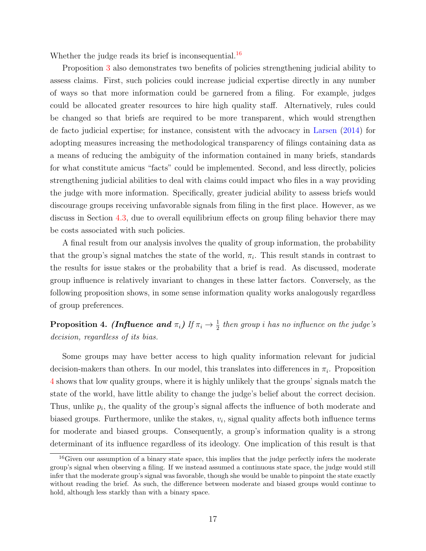Whether the judge reads its brief is inconsequential.<sup>[16](#page-0-0)</sup>

Proposition [3](#page-16-0) also demonstrates two benefits of policies strengthening judicial ability to assess claims. First, such policies could increase judicial expertise directly in any number of ways so that more information could be garnered from a filing. For example, judges could be allocated greater resources to hire high quality staff. Alternatively, rules could be changed so that briefs are required to be more transparent, which would strengthen de facto judicial expertise; for instance, consistent with the advocacy in [Larsen](#page-41-1) [\(2014\)](#page-41-1) for adopting measures increasing the methodological transparency of filings containing data as a means of reducing the ambiguity of the information contained in many briefs, standards for what constitute amicus "facts" could be implemented. Second, and less directly, policies strengthening judicial abilities to deal with claims could impact who files in a way providing the judge with more information. Specifically, greater judicial ability to assess briefs would discourage groups receiving unfavorable signals from filing in the first place. However, as we discuss in Section [4.3,](#page-20-0) due to overall equilibrium effects on group filing behavior there may be costs associated with such policies.

A final result from our analysis involves the quality of group information, the probability that the group's signal matches the state of the world,  $\pi_i$ . This result stands in contrast to the results for issue stakes or the probability that a brief is read. As discussed, moderate group influence is relatively invariant to changes in these latter factors. Conversely, as the following proposition shows, in some sense information quality works analogously regardless of group preferences.

### <span id="page-17-0"></span>**Proposition 4. (Influence and**  $\pi_i$ ) If  $\pi_i \rightarrow \frac{1}{2}$  then group i has no influence on the judge's decision, regardless of its bias.

Some groups may have better access to high quality information relevant for judicial decision-makers than others. In our model, this translates into differences in  $\pi_i$ . Proposition [4](#page-17-0) shows that low quality groups, where it is highly unlikely that the groups' signals match the state of the world, have little ability to change the judge's belief about the correct decision. Thus, unlike  $p_i$ , the quality of the group's signal affects the influence of both moderate and biased groups. Furthermore, unlike the stakes,  $v_i$ , signal quality affects both influence terms for moderate and biased groups. Consequently, a group's information quality is a strong determinant of its influence regardless of its ideology. One implication of this result is that

<sup>&</sup>lt;sup>16</sup>Given our assumption of a binary state space, this implies that the judge perfectly infers the moderate group's signal when observing a filing. If we instead assumed a continuous state space, the judge would still infer that the moderate group's signal was favorable, though she would be unable to pinpoint the state exactly without reading the brief. As such, the difference between moderate and biased groups would continue to hold, although less starkly than with a binary space.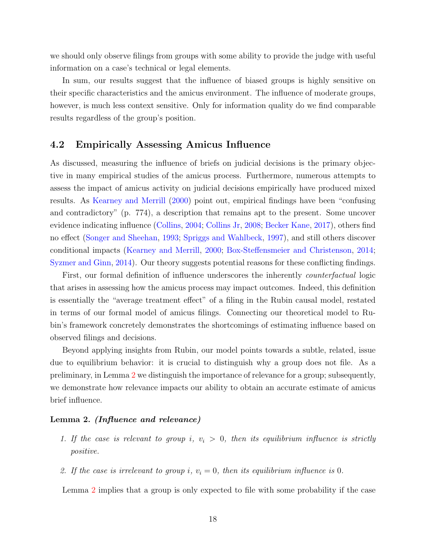we should only observe filings from groups with some ability to provide the judge with useful information on a case's technical or legal elements.

In sum, our results suggest that the influence of biased groups is highly sensitive on their specific characteristics and the amicus environment. The influence of moderate groups, however, is much less context sensitive. Only for information quality do we find comparable results regardless of the group's position.

### 4.2 Empirically Assessing Amicus Influence

As discussed, measuring the influence of briefs on judicial decisions is the primary objective in many empirical studies of the amicus process. Furthermore, numerous attempts to assess the impact of amicus activity on judicial decisions empirically have produced mixed results. As [Kearney and Merrill](#page-41-9) [\(2000\)](#page-41-9) point out, empirical findings have been "confusing and contradictory" (p. 774), a description that remains apt to the present. Some uncover evidence indicating influence [\(Collins,](#page-40-12) [2004;](#page-40-12) [Collins Jr,](#page-40-6) [2008;](#page-40-6) [Becker Kane,](#page-39-0) [2017\)](#page-39-0), others find no effect [\(Songer and Sheehan,](#page-42-9) [1993;](#page-42-9) [Spriggs and Wahlbeck,](#page-42-10) [1997\)](#page-42-10), and still others discover conditional impacts [\(Kearney and Merrill,](#page-41-9) [2000;](#page-41-9) [Box-Steffensmeier and Christenson,](#page-39-2) [2014;](#page-39-2) [Syzmer and Ginn,](#page-42-11) [2014\)](#page-42-11). Our theory suggests potential reasons for these conflicting findings.

First, our formal definition of influence underscores the inherently *counterfactual* logic that arises in assessing how the amicus process may impact outcomes. Indeed, this definition is essentially the "average treatment effect" of a filing in the Rubin causal model, restated in terms of our formal model of amicus filings. Connecting our theoretical model to Rubin's framework concretely demonstrates the shortcomings of estimating influence based on observed filings and decisions.

Beyond applying insights from Rubin, our model points towards a subtle, related, issue due to equilibrium behavior: it is crucial to distinguish why a group does not file. As a preliminary, in Lemma [2](#page-18-0) we distinguish the importance of relevance for a group; subsequently, we demonstrate how relevance impacts our ability to obtain an accurate estimate of amicus brief influence.

#### <span id="page-18-0"></span>Lemma 2. (Influence and relevance)

- 1. If the case is relevant to group i,  $v_i > 0$ , then its equilibrium influence is strictly positive.
- 2. If the case is irrelevant to group i,  $v_i = 0$ , then its equilibrium influence is 0.

Lemma [2](#page-18-0) implies that a group is only expected to file with some probability if the case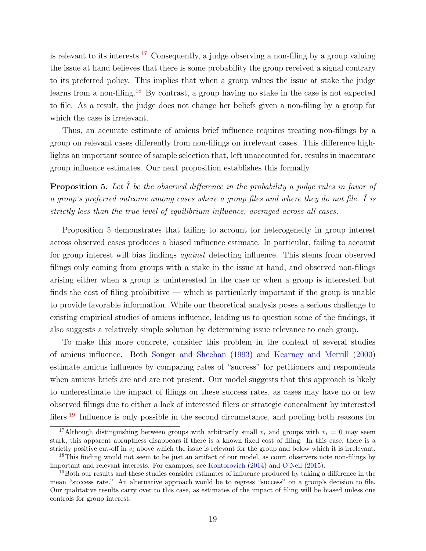is relevant to its interests.<sup>[17](#page-0-0)</sup> Consequently, a judge observing a non-filing by a group valuing the issue at hand believes that there is some probability the group received a signal contrary to its preferred policy. This implies that when a group values the issue at stake the judge learns from a non-filing.<sup>[18](#page-0-0)</sup> By contrast, a group having no stake in the case is not expected to file. As a result, the judge does not change her beliefs given a non-filing by a group for which the case is irrelevant.

Thus, an accurate estimate of amicus brief influence requires treating non-filings by a group on relevant cases differently from non-filings on irrelevant cases. This difference highlights an important source of sample selection that, left unaccounted for, results in inaccurate group influence estimates. Our next proposition establishes this formally.

<span id="page-19-0"></span>**Proposition 5.** Let  $\hat{I}$  be the observed difference in the probability a judge rules in favor of a group's preferred outcome among cases where a group files and where they do not file.  $\hat{I}$  is strictly less than the true level of equilibrium influence, averaged across all cases.

Proposition [5](#page-19-0) demonstrates that failing to account for heterogeneity in group interest across observed cases produces a biased influence estimate. In particular, failing to account for group interest will bias findings *against* detecting influence. This stems from observed filings only coming from groups with a stake in the issue at hand, and observed non-filings arising either when a group is uninterested in the case or when a group is interested but finds the cost of filing prohibitive — which is particularly important if the group is unable to provide favorable information. While our theoretical analysis poses a serious challenge to existing empirical studies of amicus influence, leading us to question some of the findings, it also suggests a relatively simple solution by determining issue relevance to each group.

To make this more concrete, consider this problem in the context of several studies of amicus influence. Both [Songer and Sheehan](#page-42-9) [\(1993\)](#page-42-9) and [Kearney and Merrill](#page-41-9) [\(2000\)](#page-41-9) estimate amicus influence by comparing rates of "success" for petitioners and respondents when amicus briefs are and are not present. Our model suggests that this approach is likely to underestimate the impact of filings on these success rates, as cases may have no or few observed filings due to either a lack of interested filers or strategic concealment by interested filers.<sup>[19](#page-0-0)</sup> Influence is only possible in the second circumstance, and pooling both reasons for

<sup>&</sup>lt;sup>17</sup>Although distinguishing between groups with arbitrarily small  $v_i$  and groups with  $v_i = 0$  may seem stark, this apparent abruptness disappears if there is a known fixed cost of filing. In this case, there is a strictly positive cut-off in  $v_i$  above which the issue is relevant for the group and below which it is irrelevant.

<sup>&</sup>lt;sup>18</sup>This finding would not seem to be just an artifact of our model, as court observers note non-filings by important and relevant interests. For examples, see [Kontorovich](#page-41-12) [\(2014\)](#page-41-12) and [O'Neil](#page-42-12) [\(2015\)](#page-42-12).

<sup>19</sup>Both our results and these studies consider estimates of influence produced by taking a difference in the mean "success rate." An alternative approach would be to regress "success" on a group's decision to file. Our qualitative results carry over to this case, as estimates of the impact of filing will be biased unless one controls for group interest.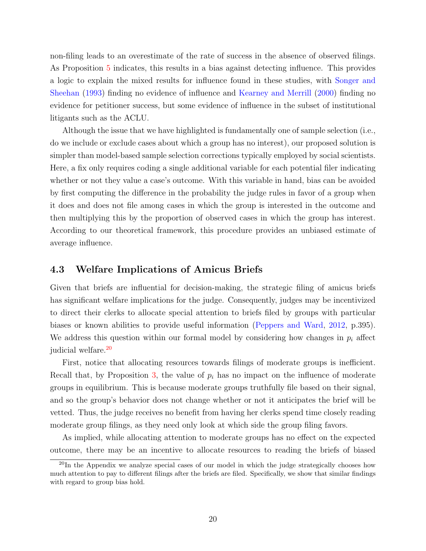non-filing leads to an overestimate of the rate of success in the absence of observed filings. As Proposition [5](#page-19-0) indicates, this results in a bias against detecting influence. This provides a logic to explain the mixed results for influence found in these studies, with [Songer and](#page-42-9) [Sheehan](#page-42-9) [\(1993\)](#page-42-9) finding no evidence of influence and [Kearney and Merrill](#page-41-9) [\(2000\)](#page-41-9) finding no evidence for petitioner success, but some evidence of influence in the subset of institutional litigants such as the ACLU.

Although the issue that we have highlighted is fundamentally one of sample selection (i.e., do we include or exclude cases about which a group has no interest), our proposed solution is simpler than model-based sample selection corrections typically employed by social scientists. Here, a fix only requires coding a single additional variable for each potential filer indicating whether or not they value a case's outcome. With this variable in hand, bias can be avoided by first computing the difference in the probability the judge rules in favor of a group when it does and does not file among cases in which the group is interested in the outcome and then multiplying this by the proportion of observed cases in which the group has interest. According to our theoretical framework, this procedure provides an unbiased estimate of average influence.

### <span id="page-20-0"></span>4.3 Welfare Implications of Amicus Briefs

Given that briefs are influential for decision-making, the strategic filing of amicus briefs has significant welfare implications for the judge. Consequently, judges may be incentivized to direct their clerks to allocate special attention to briefs filed by groups with particular biases or known abilities to provide useful information [\(Peppers and Ward,](#page-42-8) [2012,](#page-42-8) p.395). We address this question within our formal model by considering how changes in  $p_i$  affect judicial welfare.[20](#page-0-0)

First, notice that allocating resources towards filings of moderate groups is inefficient. Recall that, by Proposition [3,](#page-16-0) the value of  $p_i$  has no impact on the influence of moderate groups in equilibrium. This is because moderate groups truthfully file based on their signal, and so the group's behavior does not change whether or not it anticipates the brief will be vetted. Thus, the judge receives no benefit from having her clerks spend time closely reading moderate group filings, as they need only look at which side the group filing favors.

As implied, while allocating attention to moderate groups has no effect on the expected outcome, there may be an incentive to allocate resources to reading the briefs of biased

<sup>&</sup>lt;sup>20</sup>In the Appendix we analyze special cases of our model in which the judge strategically chooses how much attention to pay to different filings after the briefs are filed. Specifically, we show that similar findings with regard to group bias hold.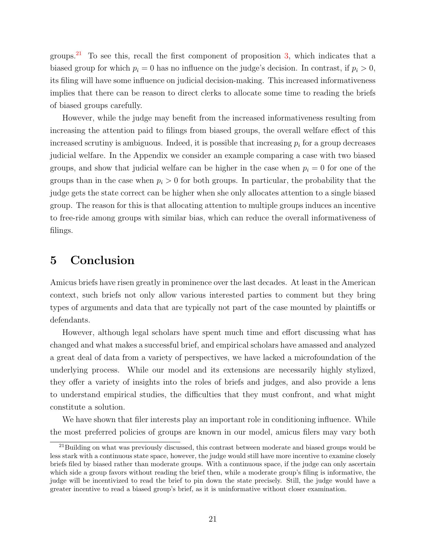groups.<sup>[21](#page-0-0)</sup> To see this, recall the first component of proposition  $3$ , which indicates that a biased group for which  $p_i = 0$  has no influence on the judge's decision. In contrast, if  $p_i > 0$ , its filing will have some influence on judicial decision-making. This increased informativeness implies that there can be reason to direct clerks to allocate some time to reading the briefs of biased groups carefully.

However, while the judge may benefit from the increased informativeness resulting from increasing the attention paid to filings from biased groups, the overall welfare effect of this increased scrutiny is ambiguous. Indeed, it is possible that increasing  $p_i$  for a group decreases judicial welfare. In the Appendix we consider an example comparing a case with two biased groups, and show that judicial welfare can be higher in the case when  $p_i = 0$  for one of the groups than in the case when  $p_i > 0$  for both groups. In particular, the probability that the judge gets the state correct can be higher when she only allocates attention to a single biased group. The reason for this is that allocating attention to multiple groups induces an incentive to free-ride among groups with similar bias, which can reduce the overall informativeness of filings.

## 5 Conclusion

Amicus briefs have risen greatly in prominence over the last decades. At least in the American context, such briefs not only allow various interested parties to comment but they bring types of arguments and data that are typically not part of the case mounted by plaintiffs or defendants.

However, although legal scholars have spent much time and effort discussing what has changed and what makes a successful brief, and empirical scholars have amassed and analyzed a great deal of data from a variety of perspectives, we have lacked a microfoundation of the underlying process. While our model and its extensions are necessarily highly stylized, they offer a variety of insights into the roles of briefs and judges, and also provide a lens to understand empirical studies, the difficulties that they must confront, and what might constitute a solution.

We have shown that filer interests play an important role in conditioning influence. While the most preferred policies of groups are known in our model, amicus filers may vary both

<sup>&</sup>lt;sup>21</sup>Building on what was previously discussed, this contrast between moderate and biased groups would be less stark with a continuous state space, however, the judge would still have more incentive to examine closely briefs filed by biased rather than moderate groups. With a continuous space, if the judge can only ascertain which side a group favors without reading the brief then, while a moderate group's filing is informative, the judge will be incentivized to read the brief to pin down the state precisely. Still, the judge would have a greater incentive to read a biased group's brief, as it is uninformative without closer examination.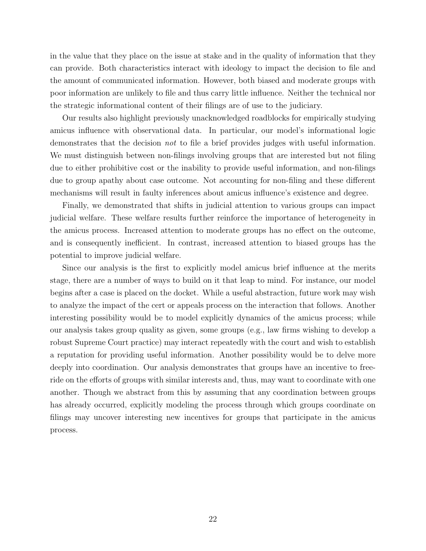in the value that they place on the issue at stake and in the quality of information that they can provide. Both characteristics interact with ideology to impact the decision to file and the amount of communicated information. However, both biased and moderate groups with poor information are unlikely to file and thus carry little influence. Neither the technical nor the strategic informational content of their filings are of use to the judiciary.

Our results also highlight previously unacknowledged roadblocks for empirically studying amicus influence with observational data. In particular, our model's informational logic demonstrates that the decision not to file a brief provides judges with useful information. We must distinguish between non-filings involving groups that are interested but not filing due to either prohibitive cost or the inability to provide useful information, and non-filings due to group apathy about case outcome. Not accounting for non-filing and these different mechanisms will result in faulty inferences about amicus influence's existence and degree.

Finally, we demonstrated that shifts in judicial attention to various groups can impact judicial welfare. These welfare results further reinforce the importance of heterogeneity in the amicus process. Increased attention to moderate groups has no effect on the outcome, and is consequently inefficient. In contrast, increased attention to biased groups has the potential to improve judicial welfare.

Since our analysis is the first to explicitly model amicus brief influence at the merits stage, there are a number of ways to build on it that leap to mind. For instance, our model begins after a case is placed on the docket. While a useful abstraction, future work may wish to analyze the impact of the cert or appeals process on the interaction that follows. Another interesting possibility would be to model explicitly dynamics of the amicus process; while our analysis takes group quality as given, some groups (e.g., law firms wishing to develop a robust Supreme Court practice) may interact repeatedly with the court and wish to establish a reputation for providing useful information. Another possibility would be to delve more deeply into coordination. Our analysis demonstrates that groups have an incentive to freeride on the efforts of groups with similar interests and, thus, may want to coordinate with one another. Though we abstract from this by assuming that any coordination between groups has already occurred, explicitly modeling the process through which groups coordinate on filings may uncover interesting new incentives for groups that participate in the amicus process.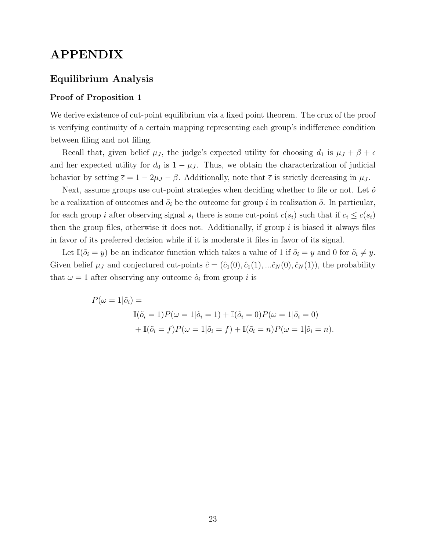## APPENDIX

### Equilibrium Analysis

#### Proof of Proposition 1

We derive existence of cut-point equilibrium via a fixed point theorem. The crux of the proof is verifying continuity of a certain mapping representing each group's indifference condition between filing and not filing.

Recall that, given belief  $\mu_J$ , the judge's expected utility for choosing  $d_1$  is  $\mu_J + \beta + \epsilon$ and her expected utility for  $d_0$  is  $1 - \mu_J$ . Thus, we obtain the characterization of judicial behavior by setting  $\bar{\epsilon} = 1 - 2\mu_J - \beta$ . Additionally, note that  $\bar{\epsilon}$  is strictly decreasing in  $\mu_J$ .

Next, assume groups use cut-point strategies when deciding whether to file or not. Let  $\tilde{o}$ be a realization of outcomes and  $\tilde{o}_i$  be the outcome for group i in realization  $\tilde{o}$ . In particular, for each group i after observing signal  $s_i$  there is some cut-point  $\overline{c}(s_i)$  such that if  $c_i \leq \overline{c}(s_i)$ then the group files, otherwise it does not. Additionally, if group  $i$  is biased it always files in favor of its preferred decision while if it is moderate it files in favor of its signal.

Let  $\mathbb{I}(\tilde{o}_i = y)$  be an indicator function which takes a value of 1 if  $\tilde{o}_i = y$  and 0 for  $\tilde{o}_i \neq y$ . Given belief  $\mu_J$  and conjectured cut-points  $\hat{c} = (\hat{c}_1(0), \hat{c}_1(1), \dots, \hat{c}_N(0), \hat{c}_N(1))$ , the probability that  $\omega = 1$  after observing any outcome  $\tilde{o}_i$  from group i is

$$
P(\omega = 1|\tilde{o}_i) =
$$
  
\n
$$
\mathbb{I}(\tilde{o}_i = 1)P(\omega = 1|\tilde{o}_i = 1) + \mathbb{I}(\tilde{o}_i = 0)P(\omega = 1|\tilde{o}_i = 0)
$$
  
\n
$$
+ \mathbb{I}(\tilde{o}_i = f)P(\omega = 1|\tilde{o}_i = f) + \mathbb{I}(\tilde{o}_i = n)P(\omega = 1|\tilde{o}_i = n).
$$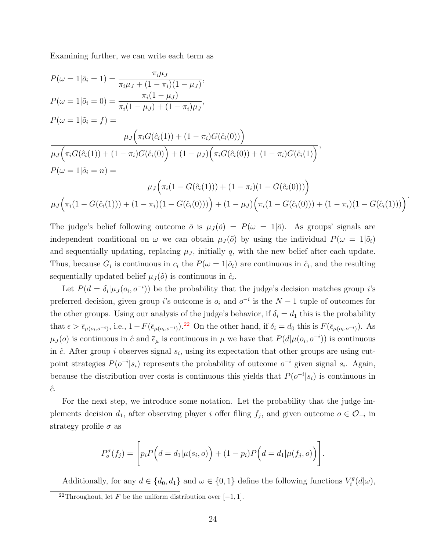Examining further, we can write each term as

$$
P(\omega = 1 | \tilde{o}_i = 1) = \frac{\pi_i \mu_J}{\pi_i \mu_J + (1 - \pi_i)(1 - \mu_J)},
$$
  
\n
$$
P(\omega = 1 | \tilde{o}_i = 0) = \frac{\pi_i (1 - \mu_J)}{\pi_i (1 - \mu_J) + (1 - \pi_i) \mu_J},
$$
  
\n
$$
P(\omega = 1 | \tilde{o}_i = f) = \frac{\mu_J (\pi_i G(\hat{c}_i(1)) + (1 - \pi_i) G(\hat{c}_i(0)))}{\mu_J (\pi_i G(\hat{c}_i(1)) + (1 - \pi_i) G(\hat{c}_i(0)) + (1 - \mu_J) (\pi_i G(\hat{c}_i(0)) + (1 - \pi_i) G(\hat{c}_i(1)))},
$$
  
\n
$$
P(\omega = 1 | \tilde{o}_i = n) = \frac{\mu_J (\pi_i (1 - G(\hat{c}_i(1))) + (1 - \pi_i) (1 - G(\hat{c}_i(0)))}{\mu_J (\pi_i (1 - G(\hat{c}_i(1))) + (1 - \pi_i) (1 - G(\hat{c}_i(0))) + (1 - \mu_J) (\pi_i (1 - G(\hat{c}_i(0))) + (1 - \pi_i) (1 - G(\hat{c}_i(1)))}.
$$

The judge's belief following outcome  $\tilde{o}$  is  $\mu_J(\tilde{o}) = P(\omega = 1|\tilde{o})$ . As groups' signals are independent conditional on  $\omega$  we can obtain  $\mu_J(\tilde{\rho})$  by using the individual  $P(\omega = 1|\tilde{\rho}_i)$ and sequentially updating, replacing  $\mu_J$ , initially q, with the new belief after each update. Thus, because  $G_i$  is continuous in  $c_i$  the  $P(\omega = 1|\tilde{o}_i)$  are continuous in  $\hat{c}_i$ , and the resulting sequentially updated belief  $\mu_J(\tilde{o})$  is continuous in  $\hat{c}_i$ .

Let  $P(d = \delta_i | \mu_j(o_i, o^{-i}))$  be the probability that the judge's decision matches group *i*'s preferred decision, given group i's outcome is  $o_i$  and  $o^{-i}$  is the  $N-1$  tuple of outcomes for the other groups. Using our analysis of the judge's behavior, if  $\delta_i = d_1$  this is the probability that  $\epsilon > \bar{\epsilon}_{\mu(o_i, o^{-i})}$ , i.e.,  $1-F(\bar{\epsilon}_{\mu(o_i, o^{-i})})$ .<sup>[22](#page-0-0)</sup> On the other hand, if  $\delta_i = d_0$  this is  $F(\bar{\epsilon}_{\mu(o_i, o^{-i})})$ . As  $\mu_J(o)$  is continuous in  $\hat{c}$  and  $\bar{\epsilon}_{\mu}$  is continuous in  $\mu$  we have that  $P(d|\mu(o_i, o^{-i}))$  is continuous in  $\hat{c}$ . After group *i* observes signal  $s_i$ , using its expectation that other groups are using cutpoint strategies  $P(o^{-i}|s_i)$  represents the probability of outcome  $o^{-i}$  given signal  $s_i$ . Again, because the distribution over costs is continuous this yields that  $P(o^{-i}|s_i)$  is continuous in  $\hat{c}$ .

For the next step, we introduce some notation. Let the probability that the judge implements decision  $d_1$ , after observing player i offer filing  $f_j$ , and given outcome  $o \in \mathcal{O}_{-i}$  in strategy profile  $\sigma$  as

$$
P_o^{\sigma}(f_j) = \left[ p_i P\Big(d = d_1 | \mu(s_i, o)\Big) + (1 - p_i) P\Big(d = d_1 | \mu(f_j, o)\Big) \right].
$$

Additionally, for any  $d \in \{d_0, d_1\}$  and  $\omega \in \{0, 1\}$  define the following functions  $V_i^g$  $\zeta_i^g(d|\omega),$ 

<sup>&</sup>lt;sup>22</sup>Throughout, let F be the uniform distribution over  $[-1, 1]$ .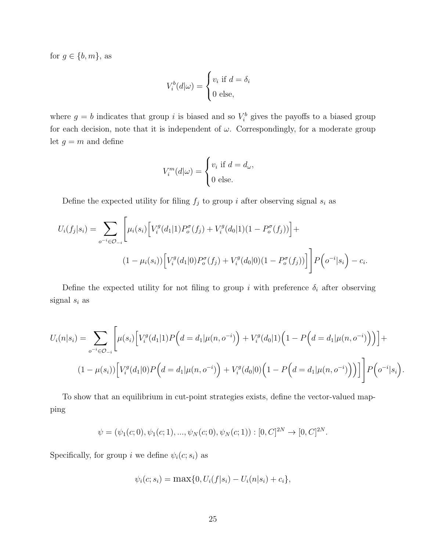for  $g \in \{b, m\}$ , as

$$
V_i^b(d|\omega) = \begin{cases} v_i \text{ if } d = \delta_i \\ 0 \text{ else,} \end{cases}
$$

where  $g = b$  indicates that group i is biased and so  $V_i^b$  gives the payoffs to a biased group for each decision, note that it is independent of  $\omega$ . Correspondingly, for a moderate group let  $g = m$  and define

$$
V_i^m(d|\omega) = \begin{cases} v_i \text{ if } d = d_\omega, \\ 0 \text{ else.} \end{cases}
$$

Define the expected utility for filing  $f_j$  to group i after observing signal  $s_i$  as

$$
U_i(f_j|s_i) = \sum_{o^{-i} \in \mathcal{O}_{-i}} \left[ \mu_i(s_i) \left[ V_i^g(d_1|1) P_o^{\sigma}(f_j) + V_i^g(d_0|1)(1 - P_o^{\sigma}(f_j)) \right] +
$$
  

$$
(1 - \mu_i(s_i)) \left[ V_i^g(d_1|0) P_o^{\sigma}(f_j) + V_i^g(d_0|0)(1 - P_o^{\sigma}(f_j)) \right] \right] P\left(o^{-i}|s_i\right) - c_i.
$$

Define the expected utility for not filing to group i with preference  $\delta_i$  after observing signal  $s_i$  as

$$
U_i(n|s_i) = \sum_{o^{-i} \in \mathcal{O}_{-i}} \left[ \mu(s_i) \left[ V_i^g(d_1|1) P\left(d = d_1 | \mu(n, o^{-i})\right) + V_i^g(d_0|1) \left(1 - P\left(d = d_1 | \mu(n, o^{-i})\right)\right) \right] + \left[ (1 - \mu(s_i)) \left[ V_i^g(d_1|0) P\left(d = d_1 | \mu(n, o^{-i})\right) + V_i^g(d_0|0) \left(1 - P\left(d = d_1 | \mu(n, o^{-i})\right)\right) \right] \right] P\left(o^{-i} | s_i\right)
$$

.

To show that an equilibrium in cut-point strategies exists, define the vector-valued mapping

$$
\psi = (\psi_1(c; 0), \psi_1(c; 1), ..., \psi_N(c; 0), \psi_N(c; 1)) : [0, C]^{2N} \to [0, C]^{2N}.
$$

Specifically, for group i we define  $\psi_i(c; s_i)$  as

$$
\psi_i(c; s_i) = \max\{0, U_i(f|s_i) - U_i(n|s_i) + c_i\},\
$$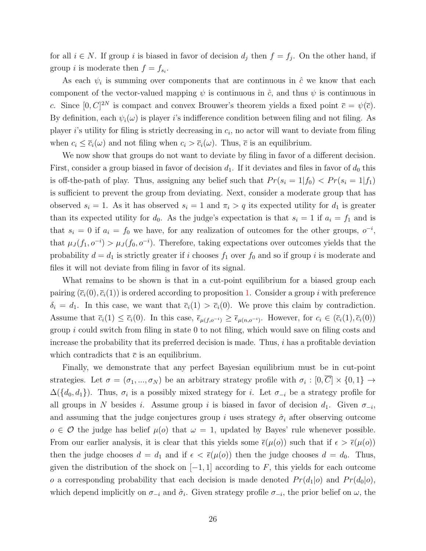for all  $i \in N$ . If group i is biased in favor of decision  $d_j$  then  $f = f_j$ . On the other hand, if group *i* is moderate then  $f = f_{s_i}$ .

As each  $\psi_i$  is summing over components that are continuous in  $\hat{c}$  we know that each component of the vector-valued mapping  $\psi$  is continuous in  $\hat{c}$ , and thus  $\psi$  is continuous in c. Since  $[0, C]^{2N}$  is compact and convex Brouwer's theorem yields a fixed point  $\bar{c} = \psi(\bar{c})$ . By definition, each  $\psi_i(\omega)$  is player i's indifference condition between filing and not filing. As player  $i$ 's utility for filing is strictly decreasing in  $c_i$ , no actor will want to deviate from filing when  $c_i \leq \overline{c}_i(\omega)$  and not filing when  $c_i > \overline{c}_i(\omega)$ . Thus,  $\overline{c}$  is an equilibrium.

We now show that groups do not want to deviate by filing in favor of a different decision. First, consider a group biased in favor of decision  $d_1$ . If it deviates and files in favor of  $d_0$  this is off-the-path of play. Thus, assigning any belief such that  $Pr(s_i = 1|f_0) < Pr(s_i = 1|f_1)$ is sufficient to prevent the group from deviating. Next, consider a moderate group that has observed  $s_i = 1$ . As it has observed  $s_i = 1$  and  $\pi_i > q$  its expected utility for  $d_1$  is greater than its expected utility for  $d_0$ . As the judge's expectation is that  $s_i = 1$  if  $a_i = f_1$  and is that  $s_i = 0$  if  $a_i = f_0$  we have, for any realization of outcomes for the other groups,  $o^{-i}$ , that  $\mu_J(f_1, o^{-i}) > \mu_J(f_0, o^{-i})$ . Therefore, taking expectations over outcomes yields that the probability  $d = d_1$  is strictly greater if i chooses  $f_1$  over  $f_0$  and so if group i is moderate and files it will not deviate from filing in favor of its signal.

What remains to be shown is that in a cut-point equilibrium for a biased group each pairing  $(\bar{c}_i(0), \bar{c}_i(1))$  is ordered according to proposition [1.](#page-10-0) Consider a group i with preference  $\delta_i = d_1$ . In this case, we want that  $\bar{c}_i(1) > \bar{c}_i(0)$ . We prove this claim by contradiction. Assume that  $\bar{c}_i(1) \leq \bar{c}_i(0)$ . In this case,  $\bar{\epsilon}_{\mu(f,o^{-i})} \geq \bar{\epsilon}_{\mu(n,o^{-i})}$ . However, for  $c_i \in (\bar{c}_i(1), \bar{c}_i(0))$ group i could switch from filing in state 0 to not filing, which would save on filing costs and increase the probability that its preferred decision is made. Thus,  $i$  has a profitable deviation which contradicts that  $\bar{c}$  is an equilibrium.

Finally, we demonstrate that any perfect Bayesian equilibrium must be in cut-point strategies. Let  $\sigma = (\sigma_1, ..., \sigma_N)$  be an arbitrary strategy profile with  $\sigma_i : [0, \overline{C}] \times \{0, 1\} \rightarrow$  $\Delta(\{d_0, d_1\})$ . Thus,  $\sigma_i$  is a possibly mixed strategy for *i*. Let  $\sigma_{-i}$  be a strategy profile for all groups in N besides i. Assume group i is biased in favor of decision  $d_1$ . Given  $\sigma_{-i}$ , and assuming that the judge conjectures group i uses strategy  $\hat{\sigma}_i$  after observing outcome  $o \in \mathcal{O}$  the judge has belief  $\mu(o)$  that  $\omega = 1$ , updated by Bayes' rule whenever possible. From our earlier analysis, it is clear that this yields some  $\bar{\epsilon}(\mu(o))$  such that if  $\epsilon > \bar{\epsilon}(\mu(o))$ then the judge chooses  $d = d_1$  and if  $\epsilon < \bar{\epsilon}(\mu(o))$  then the judge chooses  $d = d_0$ . Thus, given the distribution of the shock on  $[-1, 1]$  according to F, this yields for each outcome o a corresponding probability that each decision is made denoted  $Pr(d_1|o)$  and  $Pr(d_0|o)$ , which depend implicitly on  $\sigma_{-i}$  and  $\hat{\sigma}_i$ . Given strategy profile  $\sigma_{-i}$ , the prior belief on  $\omega$ , the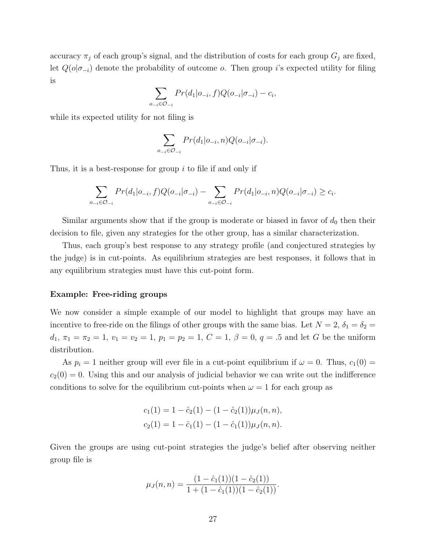accuracy  $\pi_j$  of each group's signal, and the distribution of costs for each group  $G_j$  are fixed, let  $Q(o | \sigma_{-i})$  denote the probability of outcome *o*. Then group *i*'s expected utility for filing is

$$
\sum_{o_{-i}\in\mathcal{O}_{-i}} Pr(d_1|o_{-i}, f)Q(o_{-i}|\sigma_{-i}) - c_i,
$$

while its expected utility for not filing is

$$
\sum_{o_{-i}\in\mathcal{O}_{-i}}Pr(d_1|o_{-i},n)Q(o_{-i}|\sigma_{-i}).
$$

Thus, it is a best-response for group  $i$  to file if and only if

$$
\sum_{o_{-i}\in\mathcal{O}_{-i}} Pr(d_1|o_{-i}, f)Q(o_{-i}|\sigma_{-i}) - \sum_{o_{-i}\in\mathcal{O}_{-i}} Pr(d_1|o_{-i}, n)Q(o_{-i}|\sigma_{-i}) \ge c_i.
$$

Similar arguments show that if the group is moderate or biased in favor of  $d_0$  then their decision to file, given any strategies for the other group, has a similar characterization.

Thus, each group's best response to any strategy profile (and conjectured strategies by the judge) is in cut-points. As equilibrium strategies are best responses, it follows that in any equilibrium strategies must have this cut-point form.

#### Example: Free-riding groups

We now consider a simple example of our model to highlight that groups may have an incentive to free-ride on the filings of other groups with the same bias. Let  $N = 2$ ,  $\delta_1 = \delta_2 =$  $d_1, \pi_1 = \pi_2 = 1, v_1 = v_2 = 1, p_1 = p_2 = 1, C = 1, \beta = 0, q = .5$  and let G be the uniform distribution.

As  $p_i = 1$  neither group will ever file in a cut-point equilibrium if  $\omega = 0$ . Thus,  $c_1(0) =$  $c_2(0) = 0$ . Using this and our analysis of judicial behavior we can write out the indifference conditions to solve for the equilibrium cut-points when  $\omega = 1$  for each group as

$$
c_1(1) = 1 - \hat{c}_2(1) - (1 - \hat{c}_2(1))\mu_J(n, n),
$$
  

$$
c_2(1) = 1 - \hat{c}_1(1) - (1 - \hat{c}_1(1))\mu_J(n, n).
$$

Given the groups are using cut-point strategies the judge's belief after observing neither group file is

$$
\mu_J(n,n) = \frac{(1 - \hat{c}_1(1))(1 - \hat{c}_2(1))}{1 + (1 - \hat{c}_1(1))(1 - \hat{c}_2(1))}.
$$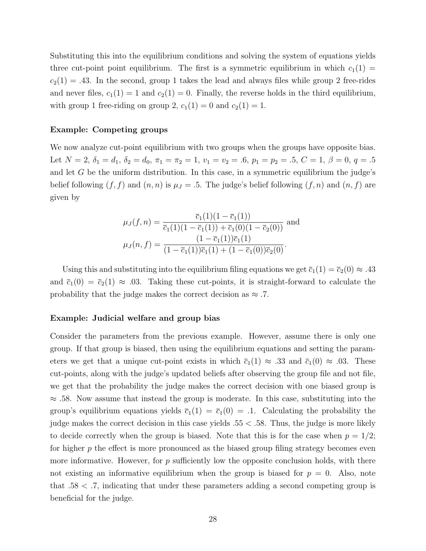Substituting this into the equilibrium conditions and solving the system of equations yields three cut-point point equilibrium. The first is a symmetric equilibrium in which  $c_1(1)$  =  $c_2(1) = .43$ . In the second, group 1 takes the lead and always files while group 2 free-rides and never files,  $c_1(1) = 1$  and  $c_2(1) = 0$ . Finally, the reverse holds in the third equilibrium, with group 1 free-riding on group 2,  $c_1(1) = 0$  and  $c_2(1) = 1$ .

#### Example: Competing groups

We now analyze cut-point equilibrium with two groups when the groups have opposite bias. Let  $N = 2$ ,  $\delta_1 = d_1$ ,  $\delta_2 = d_0$ ,  $\pi_1 = \pi_2 = 1$ ,  $v_1 = v_2 = .6$ ,  $p_1 = p_2 = .5$ ,  $C = 1$ ,  $\beta = 0$ ,  $q = .5$ and let  $G$  be the uniform distribution. In this case, in a symmetric equilibrium the judge's belief following  $(f, f)$  and  $(n, n)$  is  $\mu_J = .5$ . The judge's belief following  $(f, n)$  and  $(n, f)$  are given by

$$
\mu_J(f,n) = \frac{\overline{c}_1(1)(1-\overline{c}_1(1))}{\overline{c}_1(1)(1-\overline{c}_1(1)) + \overline{c}_1(0)(1-\overline{c}_2(0))}
$$
 and  

$$
\mu_J(n,f) = \frac{(1-\overline{c}_1(1))\overline{c}_1(1)}{(1-\overline{c}_1(1))\overline{c}_1(1) + (1-\overline{c}_1(0))\overline{c}_2(0)}.
$$

Using this and substituting into the equilibrium filing equations we get  $\bar{c}_1(1) = \bar{c}_2(0) \approx .43$ and  $\bar{c}_1(0) = \bar{c}_2(1) \approx .03$ . Taking these cut-points, it is straight-forward to calculate the probability that the judge makes the correct decision as  $\approx$  .7.

#### Example: Judicial welfare and group bias

Consider the parameters from the previous example. However, assume there is only one group. If that group is biased, then using the equilibrium equations and setting the parameters we get that a unique cut-point exists in which  $\bar{c}_1(1) \approx .33$  and  $\bar{c}_1(0) \approx .03$ . These cut-points, along with the judge's updated beliefs after observing the group file and not file, we get that the probability the judge makes the correct decision with one biased group is  $\approx$  .58. Now assume that instead the group is moderate. In this case, substituting into the group's equilibrium equations yields  $\bar{c}_1(1) = \bar{c}_1(0) = .1$ . Calculating the probability the judge makes the correct decision in this case yields  $.55 < .58$ . Thus, the judge is more likely to decide correctly when the group is biased. Note that this is for the case when  $p = 1/2$ ; for higher  $p$  the effect is more pronounced as the biased group filing strategy becomes even more informative. However, for  $p$  sufficiently low the opposite conclusion holds, with there not existing an informative equilibrium when the group is biased for  $p = 0$ . Also, note that  $.58 < .7$ , indicating that under these parameters adding a second competing group is beneficial for the judge.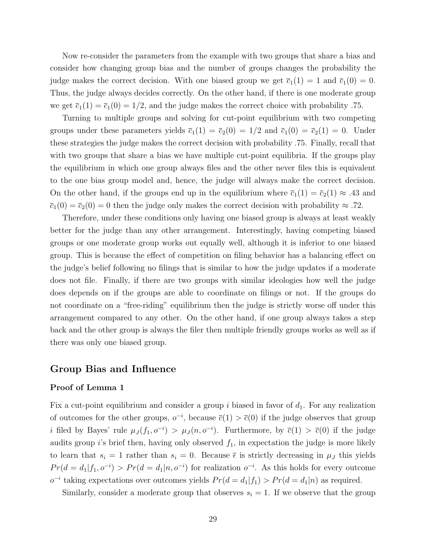Now re-consider the parameters from the example with two groups that share a bias and consider how changing group bias and the number of groups changes the probability the judge makes the correct decision. With one biased group we get  $\bar{c}_1(1) = 1$  and  $\bar{c}_1(0) = 0$ . Thus, the judge always decides correctly. On the other hand, if there is one moderate group we get  $\bar{c}_1(1) = \bar{c}_1(0) = 1/2$ , and the judge makes the correct choice with probability .75.

Turning to multiple groups and solving for cut-point equilibrium with two competing groups under these parameters yields  $\overline{c}_1(1) = \overline{c}_2(0) = 1/2$  and  $\overline{c}_1(0) = \overline{c}_2(1) = 0$ . Under these strategies the judge makes the correct decision with probability .75. Finally, recall that with two groups that share a bias we have multiple cut-point equilibria. If the groups play the equilibrium in which one group always files and the other never files this is equivalent to the one bias group model and, hence, the judge will always make the correct decision. On the other hand, if the groups end up in the equilibrium where  $\bar{c}_1(1) = \bar{c}_2(1) \approx .43$  and  $\overline{c}_1(0) = \overline{c}_2(0) = 0$  then the judge only makes the correct decision with probability  $\approx .72$ .

Therefore, under these conditions only having one biased group is always at least weakly better for the judge than any other arrangement. Interestingly, having competing biased groups or one moderate group works out equally well, although it is inferior to one biased group. This is because the effect of competition on filing behavior has a balancing effect on the judge's belief following no filings that is similar to how the judge updates if a moderate does not file. Finally, if there are two groups with similar ideologies how well the judge does depends on if the groups are able to coordinate on filings or not. If the groups do not coordinate on a "free-riding" equilibrium then the judge is strictly worse off under this arrangement compared to any other. On the other hand, if one group always takes a step back and the other group is always the filer then multiple friendly groups works as well as if there was only one biased group.

#### Group Bias and Influence

#### Proof of Lemma 1

Fix a cut-point equilibrium and consider a group i biased in favor of  $d_1$ . For any realization of outcomes for the other groups,  $o^{-i}$ , because  $\bar{c}(1) > \bar{c}(0)$  if the judge observes that group i filed by Bayes' rule  $\mu_J(f_1, o^{-i}) > \mu_J(n, o^{-i})$ . Furthermore, by  $\bar{c}(1) > \bar{c}(0)$  if the judge audits group i's brief then, having only observed  $f_1$ , in expectation the judge is more likely to learn that  $s_i = 1$  rather than  $s_i = 0$ . Because  $\bar{\epsilon}$  is strictly decreasing in  $\mu_j$  this yields  $Pr(d = d_1 | f_1, o^{-i}) > Pr(d = d_1 | n, o^{-i})$  for realization  $o^{-i}$ . As this holds for every outcome  $o^{-i}$  taking expectations over outcomes yields  $Pr(d = d_1|f_1) > Pr(d = d_1|n)$  as required.

Similarly, consider a moderate group that observes  $s_i = 1$ . If we observe that the group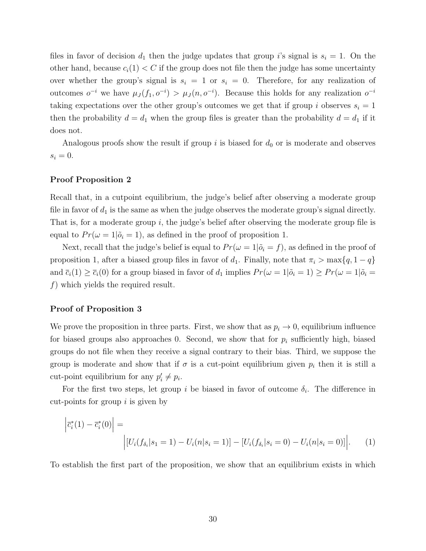files in favor of decision  $d_1$  then the judge updates that group is signal is  $s_i = 1$ . On the other hand, because  $c_i(1) < C$  if the group does not file then the judge has some uncertainty over whether the group's signal is  $s_i = 1$  or  $s_i = 0$ . Therefore, for any realization of outcomes  $o^{-i}$  we have  $\mu_J(f_1, o^{-i}) > \mu_J(n, o^{-i})$ . Because this holds for any realization  $o^{-i}$ taking expectations over the other group's outcomes we get that if group i observes  $s_i = 1$ then the probability  $d = d_1$  when the group files is greater than the probability  $d = d_1$  if it does not.

Analogous proofs show the result if group  $i$  is biased for  $d_0$  or is moderate and observes  $s_i = 0.$ 

#### Proof Proposition 2

Recall that, in a cutpoint equilibrium, the judge's belief after observing a moderate group file in favor of  $d_1$  is the same as when the judge observes the moderate group's signal directly. That is, for a moderate group  $i$ , the judge's belief after observing the moderate group file is equal to  $Pr(\omega = 1|\tilde{o}_i = 1)$ , as defined in the proof of proposition 1.

Next, recall that the judge's belief is equal to  $Pr(\omega = 1 | \tilde{o}_i = f)$ , as defined in the proof of proposition 1, after a biased group files in favor of  $d_1$ . Finally, note that  $\pi_i > \max\{q, 1 - q\}$ and  $\bar{c}_i(1) \ge \bar{c}_i(0)$  for a group biased in favor of  $d_1$  implies  $Pr(\omega = 1 | \tilde{o}_i = 1) \ge Pr(\omega = 1 | \tilde{o}_i = 1)$  $f$ ) which yields the required result.

#### Proof of Proposition 3

We prove the proposition in three parts. First, we show that as  $p_i \to 0$ , equilibrium influence for biased groups also approaches 0. Second, we show that for  $p_i$  sufficiently high, biased groups do not file when they receive a signal contrary to their bias. Third, we suppose the group is moderate and show that if  $\sigma$  is a cut-point equilibrium given  $p_i$  then it is still a cut-point equilibrium for any  $p'_i \neq p_i$ .

For the first two steps, let group i be biased in favor of outcome  $\delta_i$ . The difference in cut-points for group  $i$  is given by

<span id="page-30-0"></span>
$$
\left| \overline{c}_i^*(1) - \overline{c}_i^*(0) \right| = \left| [U_i(f_{\delta_i}|s_1 = 1) - U_i(n|s_i = 1)] - [U_i(f_{\delta_i}|s_i = 0) - U_i(n|s_i = 0)] \right|.
$$
 (1)

To establish the first part of the proposition, we show that an equilibrium exists in which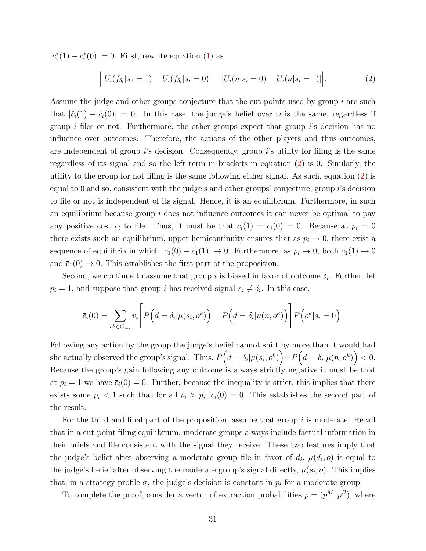$|\bar{c}_i^*(1) - \bar{c}_i^*(0)| = 0.$  $|\bar{c}_i^*(1) - \bar{c}_i^*(0)| = 0.$  $|\bar{c}_i^*(1) - \bar{c}_i^*(0)| = 0.$  First, rewrite equation (1) as

<span id="page-31-0"></span>
$$
\left| [U_i(f_{\delta_i}|s_1=1) - U_i(f_{\delta_i}|s_i=0)] - [U_i(n|s_i=0) - U_i(n|s_i=1)] \right|.
$$
\n(2)

Assume the judge and other groups conjecture that the cut-points used by group  $i$  are such that  $|\hat{c}_i(1) - \hat{c}_i(0)| = 0$ . In this case, the judge's belief over  $\omega$  is the same, regardless if group i files or not. Furthermore, the other groups expect that group  $i$ 's decision has no influence over outcomes. Therefore, the actions of the other players and thus outcomes, are independent of group  $i$ 's decision. Consequently, group  $i$ 's utility for filing is the same regardless of its signal and so the left term in brackets in equation [\(2\)](#page-31-0) is 0. Similarly, the utility to the group for not filing is the same following either signal. As such, equation [\(2\)](#page-31-0) is equal to 0 and so, consistent with the judge's and other groups' conjecture, group i's decision to file or not is independent of its signal. Hence, it is an equilibrium. Furthermore, in such an equilibrium because group  $i$  does not influence outcomes it can never be optimal to pay any positive cost  $c_i$  to file. Thus, it must be that  $\overline{c_i}(1) = \overline{c_i}(0) = 0$ . Because at  $p_i = 0$ there exists such an equilibrium, upper hemicontinuity ensures that as  $p_i \to 0$ , there exist a sequence of equilibria in which  $|\bar{c}_1(0) - \bar{c}_1(1)| \to 0$ . Furthermore, as  $p_i \to 0$ , both  $\bar{c}_1(1) \to 0$ and  $\bar{c}_1(0) \rightarrow 0$ . This establishes the first part of the proposition.

Second, we continue to assume that group i is biased in favor of outcome  $\delta_i$ . Further, let  $p_i = 1$ , and suppose that group i has received signal  $s_i \neq \delta_i$ . In this case,

$$
\overline{c}_i(0) = \sum_{o^k \in \mathcal{O}_{-i}} v_i \left[ P\left(d = \delta_i | \mu(s_i, o^k)\right) - P\left(d = \delta_i | \mu(n, o^k)\right) \right] P\left(o^k | s_i = 0\right).
$$

Following any action by the group the judge's belief cannot shift by more than it would had she actually observed the group's signal. Thus,  $P\Big(d = \delta_i | \mu(s_i, o^k) \Big) - P\Big(d = \delta_i | \mu(n, o^k) \Big) < 0.$ Because the group's gain following any outcome is always strictly negative it must be that at  $p_i = 1$  we have  $\bar{c}_i(0) = 0$ . Further, because the inequality is strict, this implies that there exists some  $\bar{p}_i < 1$  such that for all  $p_i > \bar{p}_i$ ,  $\bar{c}_i(0) = 0$ . This establishes the second part of the result.

For the third and final part of the proposition, assume that group i is moderate. Recall that in a cut-point filing equilibrium, moderate groups always include factual information in their briefs and file consistent with the signal they receive. These two features imply that the judge's belief after observing a moderate group file in favor of  $d_i$ ,  $\mu(d_i, o)$  is equal to the judge's belief after observing the moderate group's signal directly,  $\mu(s_i, o)$ . This implies that, in a strategy profile  $\sigma$ , the judge's decision is constant in  $p_i$  for a moderate group.

To complete the proof, consider a vector of extraction probabilities  $p = (p^M, p^B)$ , where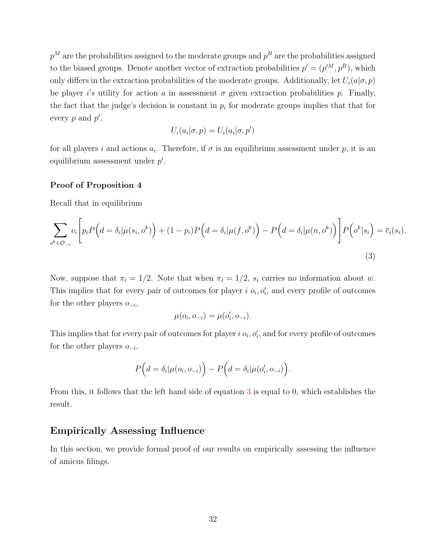$p^M$  are the probabilities assigned to the moderate groups and  $p^B$  are the probabilities assigned to the biased groups. Denote another vector of extraction probabilities  $p' = (p'^M, p^B)$ , which only differs in the extraction probabilities of the moderate groups. Additionally, let  $U_i(a|\sigma, p)$ be player is utility for action a in assessment  $\sigma$  given extraction probabilities p. Finally, the fact that the judge's decision is constant in  $p_i$  for moderate groups implies that that for every  $p$  and  $p'$ ,

$$
U_i(a_i|\sigma, p) = U_i(a_i|\sigma, p')
$$

for all players i and actions  $a_i$ . Therefore, if  $\sigma$  is an equilibrium assessment under p, it is an equilibrium assessment under  $p'$ .

#### Proof of Proposition 4

Recall that in equilibrium

$$
\sum_{o^k \in \mathcal{O}_{-i}} v_i \left[ p_i P \Big( d = \delta_i | \mu(s_i, o^k) \Big) + (1 - p_i) P \Big( d = \delta_i | \mu(f, o^k) \Big) - P \Big( d = \delta_i | \mu(n, o^k) \Big) \right] P \Big( o^k | s_i \Big) = \overline{c}_i(s_i).
$$
\n(3)

Now, suppose that  $\pi_i = 1/2$ . Note that when  $\pi_i = 1/2$ ,  $s_i$  carries no information about w. This implies that for every pair of outcomes for player  $i$   $o_i$ ,  $o'_i$ , and every profile of outcomes for the other players  $o_{-i}$ ,

<span id="page-32-0"></span>
$$
\mu(o_i, o_{-i}) = \mu(o'_i, o_{-i}).
$$

This implies that for every pair of outcomes for player  $i \, o_i, o'_i$ , and for every profile of outcomes for the other players  $o_{-i}$ ,

$$
P\Big(d=\delta_i|\mu(o_i,o_{-i})\Big)-P\Big(d=\delta_i|\mu(o'_i,o_{-i})\Big).
$$

From this, it follows that the left hand side of equation [3](#page-32-0) is equal to 0, which establishes the result.

### Empirically Assessing Influence

In this section, we provide formal proof of our results on empirically assessing the influence of amicus filings.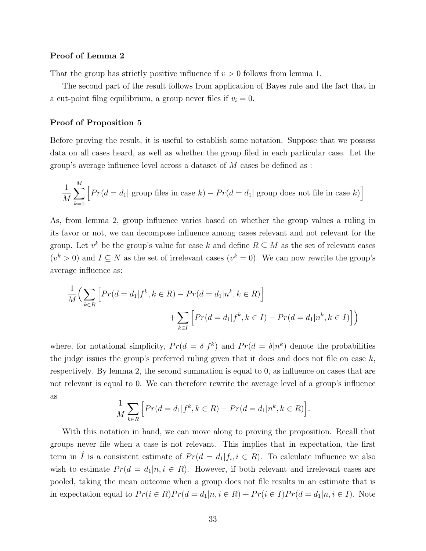#### Proof of Lemma 2

That the group has strictly positive influence if  $v > 0$  follows from lemma 1.

The second part of the result follows from application of Bayes rule and the fact that in a cut-point filng equilibrium, a group never files if  $v_i = 0$ .

#### Proof of Proposition 5

Before proving the result, it is useful to establish some notation. Suppose that we possess data on all cases heard, as well as whether the group filed in each particular case. Let the group's average influence level across a dataset of  $M$  cases be defined as:

$$
\frac{1}{M} \sum_{k=1}^{M} \left[ Pr(d = d_1 | \text{ group files in case } k) - Pr(d = d_1 | \text{ group does not file in case } k) \right]
$$

As, from lemma 2, group influence varies based on whether the group values a ruling in its favor or not, we can decompose influence among cases relevant and not relevant for the group. Let  $v^k$  be the group's value for case k and define  $R \subseteq M$  as the set of relevant cases  $(v<sup>k</sup> > 0)$  and  $I \subseteq N$  as the set of irrelevant cases  $(v<sup>k</sup> = 0)$ . We can now rewrite the group's average influence as:

$$
\frac{1}{M} \Big( \sum_{k \in R} \Big[ Pr(d = d_1 | f^k, k \in R) - Pr(d = d_1 | n^k, k \in R) \Big] + \sum_{k \in I} \Big[ Pr(d = d_1 | f^k, k \in I) - Pr(d = d_1 | n^k, k \in I) \Big] \Big)
$$

where, for notational simplicity,  $Pr(d = \delta | f^k)$  and  $Pr(d = \delta | n^k)$  denote the probabilities the judge issues the group's preferred ruling given that it does and does not file on case  $k$ , respectively. By lemma 2, the second summation is equal to 0, as influence on cases that are not relevant is equal to 0. We can therefore rewrite the average level of a group's influence as

$$
\frac{1}{M}\sum_{k\in R}\Big[Pr(d=d_1|f^k, k\in R) - Pr(d=d_1|n^k, k\in R)\Big].
$$

With this notation in hand, we can move along to proving the proposition. Recall that groups never file when a case is not relevant. This implies that in expectation, the first term in  $\hat{I}$  is a consistent estimate of  $Pr(d = d_1 | f_i, i \in R)$ . To calculate influence we also wish to estimate  $Pr(d = d_1 | n, i \in R)$ . However, if both relevant and irrelevant cases are pooled, taking the mean outcome when a group does not file results in an estimate that is in expectation equal to  $Pr(i \in R) Pr(d = d_1 | n, i \in R) + Pr(i \in I) Pr(d = d_1 | n, i \in I)$ . Note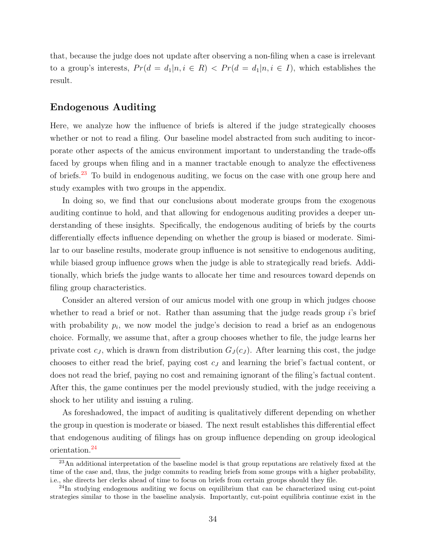that, because the judge does not update after observing a non-filing when a case is irrelevant to a group's interests,  $Pr(d = d_1 | n, i \in R) < Pr(d = d_1 | n, i \in I)$ , which establishes the result.

### Endogenous Auditing

Here, we analyze how the influence of briefs is altered if the judge strategically chooses whether or not to read a filing. Our baseline model abstracted from such auditing to incorporate other aspects of the amicus environment important to understanding the trade-offs faced by groups when filing and in a manner tractable enough to analyze the effectiveness of briefs.[23](#page-0-0) To build in endogenous auditing, we focus on the case with one group here and study examples with two groups in the appendix.

In doing so, we find that our conclusions about moderate groups from the exogenous auditing continue to hold, and that allowing for endogenous auditing provides a deeper understanding of these insights. Specifically, the endogenous auditing of briefs by the courts differentially effects influence depending on whether the group is biased or moderate. Similar to our baseline results, moderate group influence is not sensitive to endogenous auditing, while biased group influence grows when the judge is able to strategically read briefs. Additionally, which briefs the judge wants to allocate her time and resources toward depends on filing group characteristics.

Consider an altered version of our amicus model with one group in which judges choose whether to read a brief or not. Rather than assuming that the judge reads group i's brief with probability  $p_i$ , we now model the judge's decision to read a brief as an endogenous choice. Formally, we assume that, after a group chooses whether to file, the judge learns her private cost  $c_J$ , which is drawn from distribution  $G_J(c_J)$ . After learning this cost, the judge chooses to either read the brief, paying cost  $c_J$  and learning the brief's factual content, or does not read the brief, paying no cost and remaining ignorant of the filing's factual content. After this, the game continues per the model previously studied, with the judge receiving a shock to her utility and issuing a ruling.

As foreshadowed, the impact of auditing is qualitatively different depending on whether the group in question is moderate or biased. The next result establishes this differential effect that endogenous auditing of filings has on group influence depending on group ideological orientation.[24](#page-0-0)

<sup>&</sup>lt;sup>23</sup>An additional interpretation of the baseline model is that group reputations are relatively fixed at the time of the case and, thus, the judge commits to reading briefs from some groups with a higher probability, i.e., she directs her clerks ahead of time to focus on briefs from certain groups should they file.

<sup>&</sup>lt;sup>24</sup>In studying endogenous auditing we focus on equilibrium that can be characterized using cut-point strategies similar to those in the baseline analysis. Importantly, cut-point equilibria continue exist in the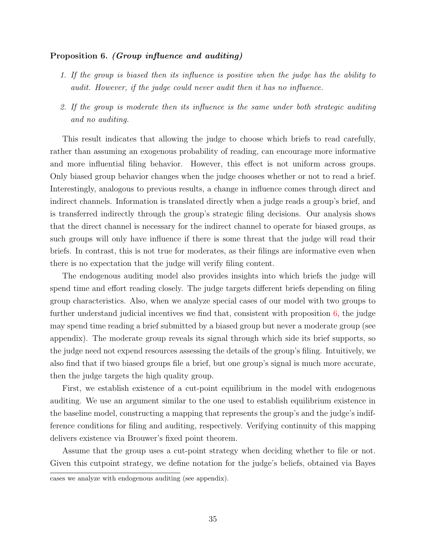#### <span id="page-35-0"></span>Proposition 6. (Group influence and auditing)

- 1. If the group is biased then its influence is positive when the judge has the ability to audit. However, if the judge could never audit then it has no influence.
- 2. If the group is moderate then its influence is the same under both strategic auditing and no auditing.

This result indicates that allowing the judge to choose which briefs to read carefully, rather than assuming an exogenous probability of reading, can encourage more informative and more influential filing behavior. However, this effect is not uniform across groups. Only biased group behavior changes when the judge chooses whether or not to read a brief. Interestingly, analogous to previous results, a change in influence comes through direct and indirect channels. Information is translated directly when a judge reads a group's brief, and is transferred indirectly through the group's strategic filing decisions. Our analysis shows that the direct channel is necessary for the indirect channel to operate for biased groups, as such groups will only have influence if there is some threat that the judge will read their briefs. In contrast, this is not true for moderates, as their filings are informative even when there is no expectation that the judge will verify filing content.

The endogenous auditing model also provides insights into which briefs the judge will spend time and effort reading closely. The judge targets different briefs depending on filing group characteristics. Also, when we analyze special cases of our model with two groups to further understand judicial incentives we find that, consistent with proposition [6,](#page-35-0) the judge may spend time reading a brief submitted by a biased group but never a moderate group (see appendix). The moderate group reveals its signal through which side its brief supports, so the judge need not expend resources assessing the details of the group's filing. Intuitively, we also find that if two biased groups file a brief, but one group's signal is much more accurate, then the judge targets the high quality group.

First, we establish existence of a cut-point equilibrium in the model with endogenous auditing. We use an argument similar to the one used to establish equilibrium existence in the baseline model, constructing a mapping that represents the group's and the judge's indifference conditions for filing and auditing, respectively. Verifying continuity of this mapping delivers existence via Brouwer's fixed point theorem.

Assume that the group uses a cut-point strategy when deciding whether to file or not. Given this cutpoint strategy, we define notation for the judge's beliefs, obtained via Bayes

cases we analyze with endogenous auditing (see appendix).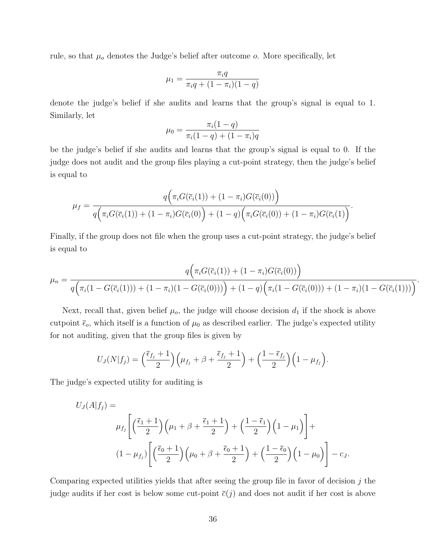rule, so that  $\mu_o$  denotes the Judge's belief after outcome  $o$ . More specifically, let

$$
\mu_1 = \frac{\pi_i q}{\pi_i q + (1 - \pi_i)(1 - q)}
$$

denote the judge's belief if she audits and learns that the group's signal is equal to 1. Similarly, let

$$
\mu_0 = \frac{\pi_i (1 - q)}{\pi_i (1 - q) + (1 - \pi_i) q}
$$

be the judge's belief if she audits and learns that the group's signal is equal to 0. If the judge does not audit and the group files playing a cut-point strategy, then the judge's belief is equal to

$$
\mu_f = \frac{q\Big(\pi_i G(\overline{c}_i(1)) + (1 - \pi_i)G(\overline{c}_i(0))\Big)}{q\Big(\pi_i G(\overline{c}_i(1)) + (1 - \pi_i)G(\overline{c}_i(0)\Big) + (1 - q)\Big(\pi_i G(\overline{c}_i(0)) + (1 - \pi_i)G(\overline{c}_i(1)\Big)}.
$$

Finally, if the group does not file when the group uses a cut-point strategy, the judge's belief is equal to

$$
\mu_n = \frac{q\Big(\pi_i G(\overline{c}_i(1)) + (1 - \pi_i)G(\overline{c}_i(0))\Big)}{q\Big(\pi_i (1 - G(\overline{c}_i(1))) + (1 - \pi_i)(1 - G(\overline{c}_i(0)))\Big) + (1 - q)\Big(\pi_i (1 - G(\overline{c}_i(0))) + (1 - \pi_i)(1 - G(\overline{c}_i(1)))\Big)}.
$$

Next, recall that, given belief  $\mu_o$ , the judge will choose decision  $d_1$  if the shock is above cutpoint  $\bar{\epsilon}_o$ , which itself is a function of  $\mu_0$  as described earlier. The judge's expected utility for not auditing, given that the group files is given by

$$
U_J(N|f_j) = \left(\frac{\overline{\epsilon}_{f_j}+1}{2}\right)\left(\mu_{f_j} + \beta + \frac{\overline{\epsilon}_{f_j}+1}{2}\right) + \left(\frac{1-\overline{\epsilon}_{f_j}}{2}\right)\left(1-\mu_{f_j}\right).
$$

The judge's expected utility for auditing is

$$
U_J(A|f_j) =
$$
  
\n
$$
\mu_{f_j}\left[\left(\frac{\overline{\epsilon}_1+1}{2}\right)\left(\mu_1+\beta+\frac{\overline{\epsilon}_1+1}{2}\right)+\left(\frac{1-\overline{\epsilon}_1}{2}\right)\left(1-\mu_1\right)\right]+\right.
$$
  
\n
$$
(1-\mu_{f_j})\left[\left(\frac{\overline{\epsilon}_0+1}{2}\right)\left(\mu_0+\beta+\frac{\overline{\epsilon}_0+1}{2}\right)+\left(\frac{1-\overline{\epsilon}_0}{2}\right)\left(1-\mu_0\right)\right]-c_J.
$$

Comparing expected utilities yields that after seeing the group file in favor of decision  $j$  the judge audits if her cost is below some cut-point  $\bar{c}(j)$  and does not audit if her cost is above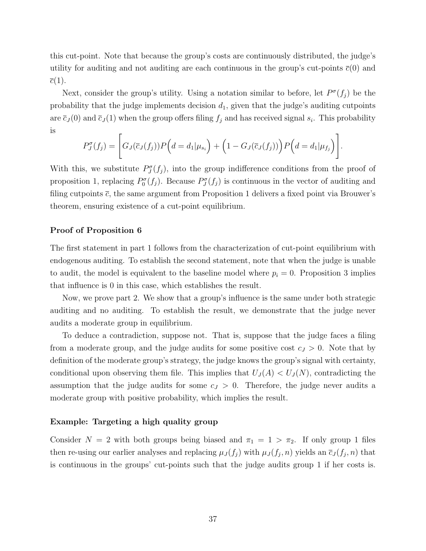this cut-point. Note that because the group's costs are continuously distributed, the judge's utility for auditing and not auditing are each continuous in the group's cut-points  $\bar{c}(0)$  and  $\overline{c}(1).$ 

Next, consider the group's utility. Using a notation similar to before, let  $P^{\sigma}(f_j)$  be the probability that the judge implements decision  $d_1$ , given that the judge's auditing cutpoints are  $\bar{c}_J(0)$  and  $\bar{c}_J(1)$  when the group offers filing  $f_j$  and has received signal  $s_i$ . This probability is

$$
P_J^{\sigma}(f_j) = \left[ G_J(\overline{c}_J(f_j)) P\Big(d = d_1 | \mu_{s_i}\Big) + \Big(1 - G_J(\overline{c}_J(f_j))\Big) P\Big(d = d_1 | \mu_{f_j}\Big) \right]
$$

.

With this, we substitute  $P_{J}^{\sigma}(f_j)$ , into the group indifference conditions from the proof of proposition 1, replacing  $P_0^{\sigma}(f_j)$ . Because  $P_J^{\sigma}(f_j)$  is continuous in the vector of auditing and filing cutpoints  $\bar{c}$ , the same argument from Proposition 1 delivers a fixed point via Brouwer's theorem, ensuring existence of a cut-point equilibrium.

#### Proof of Proposition 6

The first statement in part 1 follows from the characterization of cut-point equilibrium with endogenous auditing. To establish the second statement, note that when the judge is unable to audit, the model is equivalent to the baseline model where  $p_i = 0$ . Proposition 3 implies that influence is 0 in this case, which establishes the result.

Now, we prove part 2. We show that a group's influence is the same under both strategic auditing and no auditing. To establish the result, we demonstrate that the judge never audits a moderate group in equilibrium.

To deduce a contradiction, suppose not. That is, suppose that the judge faces a filing from a moderate group, and the judge audits for some positive cost  $c_j > 0$ . Note that by definition of the moderate group's strategy, the judge knows the group's signal with certainty, conditional upon observing them file. This implies that  $U_J(A) < U_J(N)$ , contradicting the assumption that the judge audits for some  $c_J > 0$ . Therefore, the judge never audits a moderate group with positive probability, which implies the result.

#### Example: Targeting a high quality group

Consider  $N = 2$  with both groups being biased and  $\pi_1 = 1 > \pi_2$ . If only group 1 files then re-using our earlier analyses and replacing  $\mu_J(f_j)$  with  $\mu_J(f_j, n)$  yields an  $\bar{c}_J(f_j, n)$  that is continuous in the groups' cut-points such that the judge audits group 1 if her costs is.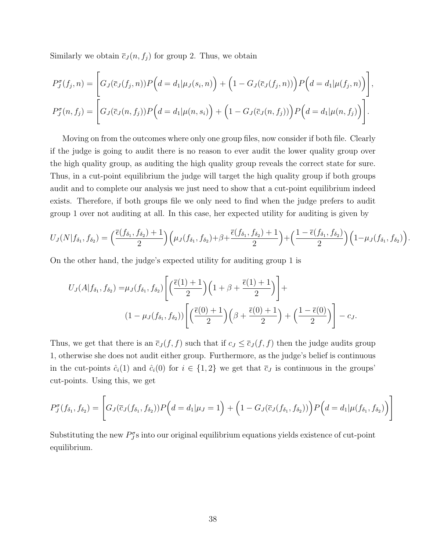Similarly we obtain  $\overline{c}_J(n, f_j)$  for group 2. Thus, we obtain

$$
P_J^{\sigma}(f_j, n) = \left[ G_J(\overline{c}_J(f_j, n)) P\Big(d = d_1 | \mu_J(s_i, n)\Big) + \Big(1 - G_J(\overline{c}_J(f_j, n))\Big) P\Big(d = d_1 | \mu(f_j, n)\Big) \right],
$$
  

$$
P_J^{\sigma}(n, f_j) = \left[ G_J(\overline{c}_J(n, f_j)) P\Big(d = d_1 | \mu(n, s_i)\Big) + \Big(1 - G_J(\overline{c}_J(n, f_j))\Big) P\Big(d = d_1 | \mu(n, f_j)\Big) \right].
$$

Moving on from the outcomes where only one group files, now consider if both file. Clearly if the judge is going to audit there is no reason to ever audit the lower quality group over the high quality group, as auditing the high quality group reveals the correct state for sure. Thus, in a cut-point equilibrium the judge will target the high quality group if both groups audit and to complete our analysis we just need to show that a cut-point equilibrium indeed exists. Therefore, if both groups file we only need to find when the judge prefers to audit group 1 over not auditing at all. In this case, her expected utility for auditing is given by

$$
U_{J}(N|f_{\delta_1}, f_{\delta_2}) = \left(\frac{\bar{\epsilon}(f_{\delta_1}, f_{\delta_2}) + 1}{2}\right) \left(\mu_J(f_{\delta_1}, f_{\delta_2}) + \beta + \frac{\bar{\epsilon}(f_{\delta_1}, f_{\delta_2}) + 1}{2}\right) + \left(\frac{1 - \bar{\epsilon}(f_{\delta_1}, f_{\delta_2})}{2}\right) \left(1 - \mu_J(f_{\delta_1}, f_{\delta_2})\right).
$$

On the other hand, the judge's expected utility for auditing group 1 is

$$
U_J(A|f_{\delta_1}, f_{\delta_2}) = \mu_J(f_{\delta_1}, f_{\delta_2}) \left[ \left( \frac{\overline{\epsilon}(1) + 1}{2} \right) \left( 1 + \beta + \frac{\overline{\epsilon}(1) + 1}{2} \right) \right] +
$$
  

$$
(1 - \mu_J(f_{\delta_1}, f_{\delta_2})) \left[ \left( \frac{\overline{\epsilon}(0) + 1}{2} \right) \left( \beta + \frac{\overline{\epsilon}(0) + 1}{2} \right) + \left( \frac{1 - \overline{\epsilon}(0)}{2} \right) \right] - c_J.
$$

Thus, we get that there is an  $\overline{c}_J(f, f)$  such that if  $c_J \leq \overline{c}_J(f, f)$  then the judge audits group 1, otherwise she does not audit either group. Furthermore, as the judge's belief is continuous in the cut-points  $\hat{c}_i(1)$  and  $\hat{c}_i(0)$  for  $i \in \{1,2\}$  we get that  $\overline{c}_J$  is continuous in the groups' cut-points. Using this, we get

$$
P_{J}^{\sigma}(f_{\delta_{1}},f_{\delta_{2}}) = \left[ G_{J}(\overline{c}_{J}(f_{\delta_{1}},f_{\delta_{2}})) P\left(d=d_{1}|\mu_{J}=1\right) + \left(1 - G_{J}(\overline{c}_{J}(f_{\delta_{1}},f_{\delta_{2}}))\right) P\left(d=d_{1}|\mu(f_{\delta_{1}},f_{\delta_{2}})\right) \right]
$$

Substituting the new  $P_J^{\sigma}$ s into our original equilibrium equations yields existence of cut-point equilibrium.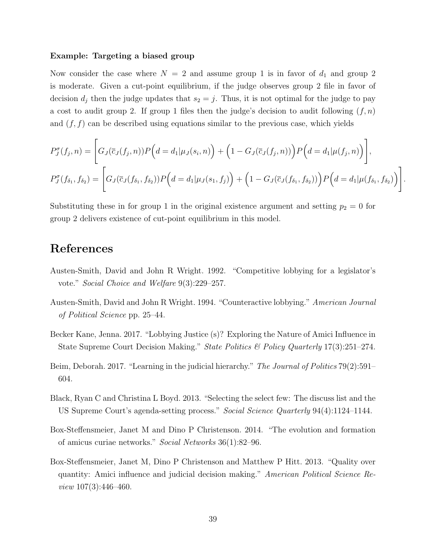#### Example: Targeting a biased group

Now consider the case where  $N = 2$  and assume group 1 is in favor of  $d_1$  and group 2 is moderate. Given a cut-point equilibrium, if the judge observes group 2 file in favor of decision  $d_j$  then the judge updates that  $s_2 = j$ . Thus, it is not optimal for the judge to pay a cost to audit group 2. If group 1 files then the judge's decision to audit following  $(f, n)$ and  $(f, f)$  can be described using equations similar to the previous case, which yields

$$
P_J^{\sigma}(f_j, n) = \left[ G_J(\overline{c}_J(f_j, n)) P\Big(d = d_1 | \mu_J(s_i, n)\Big) + \Big(1 - G_J(\overline{c}_J(f_j, n))\Big) P\Big(d = d_1 | \mu(f_j, n)\Big) \right],
$$
  
\n
$$
P_J^{\sigma}(f_{\delta_1}, f_{\delta_2}) = \left[ G_J(\overline{c}_J(f_{\delta_1}, f_{\delta_2})) P\Big(d = d_1 | \mu_J(s_1, f_j)\Big) + \Big(1 - G_J(\overline{c}_J(f_{\delta_1}, f_{\delta_2})) P\Big(d = d_1 | \mu(f_{\delta_1}, f_{\delta_2})\Big) \right].
$$

Substituting these in for group 1 in the original existence argument and setting  $p_2 = 0$  for group 2 delivers existence of cut-point equilibrium in this model.

## References

- <span id="page-39-3"></span>Austen-Smith, David and John R Wright. 1992. "Competitive lobbying for a legislator's vote." Social Choice and Welfare 9(3):229–257.
- <span id="page-39-4"></span>Austen-Smith, David and John R Wright. 1994. "Counteractive lobbying." American Journal of Political Science pp. 25–44.
- <span id="page-39-0"></span>Becker Kane, Jenna. 2017. "Lobbying Justice (s)? Exploring the Nature of Amici Influence in State Supreme Court Decision Making." State Politics & Policy Quarterly 17(3):251–274.
- <span id="page-39-5"></span>Beim, Deborah. 2017. "Learning in the judicial hierarchy." The Journal of Politics 79(2):591– 604.
- <span id="page-39-6"></span>Black, Ryan C and Christina L Boyd. 2013. "Selecting the select few: The discuss list and the US Supreme Court's agenda-setting process." Social Science Quarterly 94(4):1124–1144.
- <span id="page-39-2"></span>Box-Steffensmeier, Janet M and Dino P Christenson. 2014. "The evolution and formation of amicus curiae networks." Social Networks 36(1):82–96.
- <span id="page-39-1"></span>Box-Steffensmeier, Janet M, Dino P Christenson and Matthew P Hitt. 2013. "Quality over quantity: Amici influence and judicial decision making." American Political Science Review 107(3):446–460.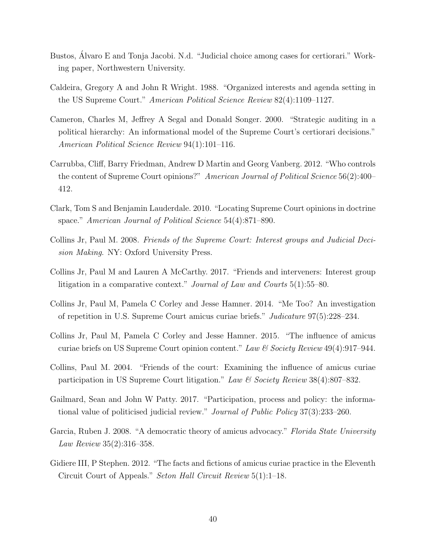- <span id="page-40-9"></span>Bustos, Alvaro E and Tonja Jacobi. N.d. "Judicial choice among cases for certiorari." Work- ´ ing paper, Northwestern University.
- <span id="page-40-7"></span>Caldeira, Gregory A and John R Wright. 1988. "Organized interests and agenda setting in the US Supreme Court." American Political Science Review 82(4):1109–1127.
- <span id="page-40-8"></span>Cameron, Charles M, Jeffrey A Segal and Donald Songer. 2000. "Strategic auditing in a political hierarchy: An informational model of the Supreme Court's certiorari decisions." American Political Science Review 94(1):101–116.
- <span id="page-40-11"></span>Carrubba, Cliff, Barry Friedman, Andrew D Martin and Georg Vanberg. 2012. "Who controls the content of Supreme Court opinions?" American Journal of Political Science 56(2):400– 412.
- <span id="page-40-10"></span>Clark, Tom S and Benjamin Lauderdale. 2010. "Locating Supreme Court opinions in doctrine space." American Journal of Political Science 54(4):871–890.
- <span id="page-40-6"></span>Collins Jr, Paul M. 2008. Friends of the Supreme Court: Interest groups and Judicial Decision Making. NY: Oxford University Press.
- <span id="page-40-3"></span>Collins Jr, Paul M and Lauren A McCarthy. 2017. "Friends and interveners: Interest group litigation in a comparative context." Journal of Law and Courts 5(1):55–80.
- <span id="page-40-0"></span>Collins Jr, Paul M, Pamela C Corley and Jesse Hamner. 2014. "Me Too? An investigation of repetition in U.S. Supreme Court amicus curiae briefs." Judicature 97(5):228–234.
- <span id="page-40-1"></span>Collins Jr, Paul M, Pamela C Corley and Jesse Hamner. 2015. "The influence of amicus curiae briefs on US Supreme Court opinion content." Law & Society Review 49(4):917–944.
- <span id="page-40-12"></span>Collins, Paul M. 2004. "Friends of the court: Examining the influence of amicus curiae participation in US Supreme Court litigation." Law & Society Review 38(4):807–832.
- <span id="page-40-5"></span>Gailmard, Sean and John W Patty. 2017. "Participation, process and policy: the informational value of politicised judicial review." Journal of Public Policy 37(3):233–260.
- <span id="page-40-4"></span>Garcia, Ruben J. 2008. "A democratic theory of amicus advocacy." Florida State University Law Review 35(2):316–358.
- <span id="page-40-2"></span>Gidiere III, P Stephen. 2012. "The facts and fictions of amicus curiae practice in the Eleventh Circuit Court of Appeals." Seton Hall Circuit Review 5(1):1–18.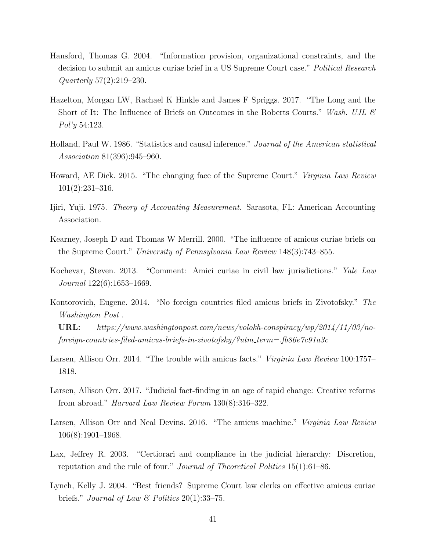- <span id="page-41-11"></span>Hansford, Thomas G. 2004. "Information provision, organizational constraints, and the decision to submit an amicus curiae brief in a US Supreme Court case." Political Research Quarterly 57(2):219–230.
- <span id="page-41-2"></span>Hazelton, Morgan LW, Rachael K Hinkle and James F Spriggs. 2017. "The Long and the Short of It: The Influence of Briefs on Outcomes in the Roberts Courts." Wash. UJL  $\mathcal{B}$ Pol'y 54:123.
- <span id="page-41-7"></span>Holland, Paul W. 1986. "Statistics and causal inference." Journal of the American statistical Association 81(396):945–960.
- <span id="page-41-3"></span>Howard, AE Dick. 2015. "The changing face of the Supreme Court." Virginia Law Review 101(2):231–316.
- <span id="page-41-8"></span>Ijiri, Yuji. 1975. Theory of Accounting Measurement. Sarasota, FL: American Accounting Association.
- <span id="page-41-9"></span>Kearney, Joseph D and Thomas W Merrill. 2000. "The influence of amicus curiae briefs on the Supreme Court." University of Pennsylvania Law Review 148(3):743–855.
- <span id="page-41-0"></span>Kochevar, Steven. 2013. "Comment: Amici curiae in civil law jurisdictions." Yale Law Journal 122(6):1653–1669.
- <span id="page-41-12"></span>Kontorovich, Eugene. 2014. "No foreign countries filed amicus briefs in Zivotofsky." The Washington Post .

URL: https://www.washingtonpost.com/news/volokh-conspiracy/wp/2014/11/03/no $foreign-countries-field-amicus-briefs-in-zivotofsky/?utm-term = fb86e7c91a3c$ 

- <span id="page-41-1"></span>Larsen, Allison Orr. 2014. "The trouble with amicus facts." *Virginia Law Review* 100:1757– 1818.
- <span id="page-41-4"></span>Larsen, Allison Orr. 2017. "Judicial fact-finding in an age of rapid change: Creative reforms from abroad." Harvard Law Review Forum 130(8):316–322.
- <span id="page-41-6"></span>Larsen, Allison Orr and Neal Devins. 2016. "The amicus machine." Virginia Law Review 106(8):1901–1968.
- <span id="page-41-10"></span>Lax, Jeffrey R. 2003. "Certiorari and compliance in the judicial hierarchy: Discretion, reputation and the rule of four." Journal of Theoretical Politics 15(1):61–86.
- <span id="page-41-5"></span>Lynch, Kelly J. 2004. "Best friends? Supreme Court law clerks on effective amicus curiae briefs." Journal of Law & Politics  $20(1):33-75$ .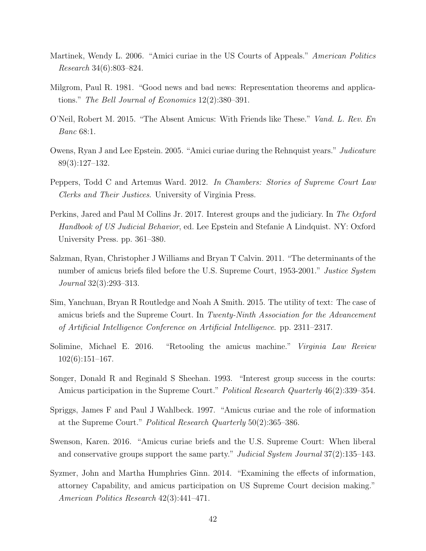- <span id="page-42-4"></span>Martinek, Wendy L. 2006. "Amici curiae in the US Courts of Appeals." American Politics Research 34(6):803–824.
- <span id="page-42-7"></span>Milgrom, Paul R. 1981. "Good news and bad news: Representation theorems and applications." The Bell Journal of Economics 12(2):380–391.
- <span id="page-42-12"></span>O'Neil, Robert M. 2015. "The Absent Amicus: With Friends like These." Vand. L. Rev. En Banc 68:1.
- <span id="page-42-0"></span>Owens, Ryan J and Lee Epstein. 2005. "Amici curiae during the Rehnquist years." Judicature 89(3):127–132.
- <span id="page-42-8"></span>Peppers, Todd C and Artemus Ward. 2012. In Chambers: Stories of Supreme Court Law Clerks and Their Justices. University of Virginia Press.
- <span id="page-42-5"></span>Perkins, Jared and Paul M Collins Jr. 2017. Interest groups and the judiciary. In The Oxford Handbook of US Judicial Behavior, ed. Lee Epstein and Stefanie A Lindquist. NY: Oxford University Press. pp. 361–380.
- <span id="page-42-1"></span>Salzman, Ryan, Christopher J Williams and Bryan T Calvin. 2011. "The determinants of the number of amicus briefs filed before the U.S. Supreme Court, 1953-2001." Justice System Journal 32(3):293–313.
- <span id="page-42-3"></span>Sim, Yanchuan, Bryan R Routledge and Noah A Smith. 2015. The utility of text: The case of amicus briefs and the Supreme Court. In Twenty-Ninth Association for the Advancement of Artificial Intelligence Conference on Artificial Intelligence. pp. 2311–2317.
- <span id="page-42-6"></span>Solimine, Michael E. 2016. "Retooling the amicus machine." Virginia Law Review 102(6):151–167.
- <span id="page-42-9"></span>Songer, Donald R and Reginald S Sheehan. 1993. "Interest group success in the courts: Amicus participation in the Supreme Court." Political Research Quarterly 46(2):339–354.
- <span id="page-42-10"></span>Spriggs, James F and Paul J Wahlbeck. 1997. "Amicus curiae and the role of information at the Supreme Court." Political Research Quarterly 50(2):365–386.
- <span id="page-42-2"></span>Swenson, Karen. 2016. "Amicus curiae briefs and the U.S. Supreme Court: When liberal and conservative groups support the same party." Judicial System Journal 37(2):135–143.
- <span id="page-42-11"></span>Syzmer, John and Martha Humphries Ginn. 2014. "Examining the effects of information, attorney Capability, and amicus participation on US Supreme Court decision making." American Politics Research 42(3):441–471.